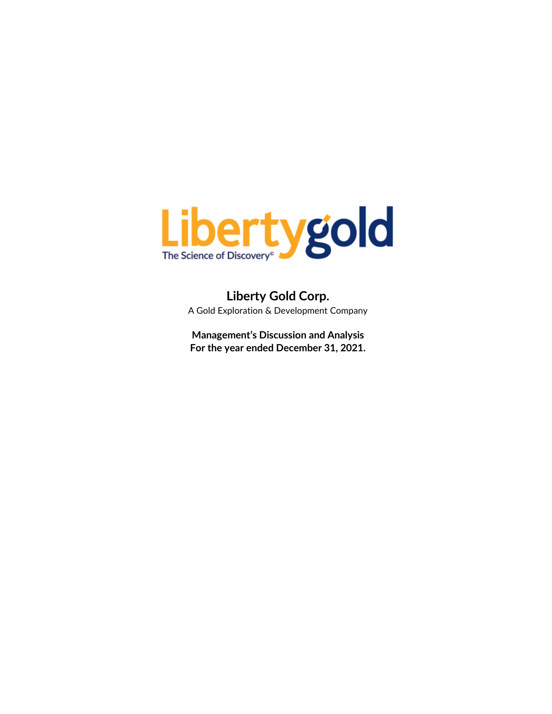

**Liberty Gold Corp.** A Gold Exploration & Development Company

**Management's Discussion and Analysis For the year ended December 31, 2021.**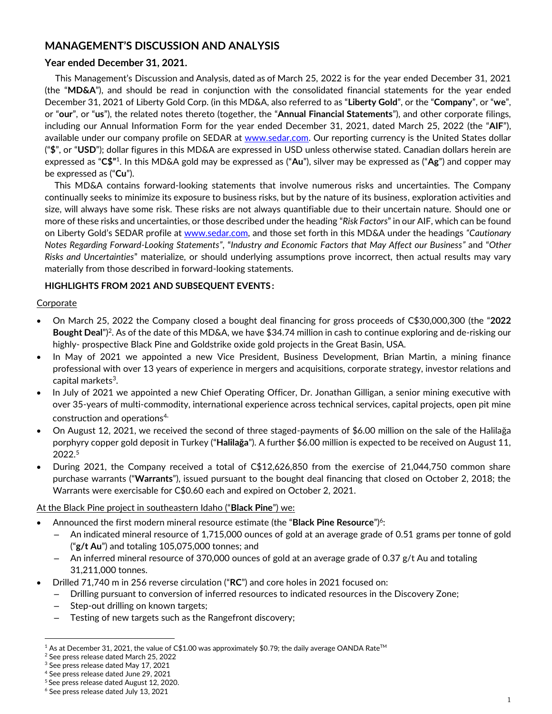# **MANAGEMENT'S DISCUSSION AND ANALYSIS**

# **Year ended December 31, 2021.**

This Management's Discussion and Analysis, dated as of March 25, 2022 is for the year ended December 31, 2021 (the "**MD&A**"), and should be read in conjunction with the consolidated financial statements for the year ended December 31, 2021 of Liberty Gold Corp. (in this MD&A, also referred to as "**Liberty Gold**", or the "**Company**", or "**we**", or "**our**", or "**us**"), the related notes thereto (together, the "**Annual Financial Statements**"), and other corporate filings, including our Annual Information Form for the year ended December 31, 2021, dated March 25, 2022 (the "**AIF**"), available under our company profile on SEDAR at [www.sedar.com.](http://www.sedar.com/) Our reporting currency is the United States dollar ("**\$**", or "**USD**"); dollar figures in this MD&A are expressed in USD unless otherwise stated. Canadian dollars herein are expressed as "**C\$"** 1 . In this MD&A gold may be expressed as ("**Au**"), silver may be expressed as ("**Ag**") and copper may be expressed as ("**Cu**").

This MD&A contains forward-looking statements that involve numerous risks and uncertainties. The Company continually seeks to minimize its exposure to business risks, but by the nature of its business, exploration activities and size, will always have some risk. These risks are not always quantifiable due to their uncertain nature. Should one or more of these risks and uncertainties, or those described under the heading "*Risk Factors*" in our AIF, which can be found on Liberty Gold's SEDAR profile at [www.sedar.com,](http://www.sedar.com/) and those set forth in this MD&A under the headings *"Cautionary Notes Regarding Forward-Looking Statements"*, "*Industry and Economic Factors that May Affect our Business"* and "*Other Risks and Uncertainties*" materialize, or should underlying assumptions prove incorrect, then actual results may vary materially from those described in forward-looking statements.

# **HIGHLIGHTS FROM 2021 AND SUBSEQUENT EVENTS :**

# **Corporate**

- On March 25, 2022 the Company closed a bought deal financing for gross proceeds of C\$30,000,300 (the "**2022 Bought Deal**")<sup>2</sup>. As of the date of this MD&A, we have \$34.74 million in cash to continue exploring and de-risking our highly- prospective Black Pine and Goldstrike oxide gold projects in the Great Basin, USA.
- In May of 2021 we appointed a new Vice President, Business Development, Brian Martin, a mining finance professional with over 13 years of experience in mergers and acquisitions, corporate strategy, investor relations and capital markets<sup>3</sup>.
- In July of 2021 we appointed a new Chief Operating Officer, Dr. Jonathan Gilligan, a senior mining executive with over 35-years of multi-commodity, international experience across technical services, capital projects, open pit mine construction and operations<sup>4.</sup>
- On August 12, 2021, we received the second of three staged-payments of \$6.00 million on the sale of the Halilağa porphyry copper gold deposit in Turkey ("**Halilağa**"). A further \$6.00 million is expected to be received on August 11, 2022.<sup>5</sup>
- During 2021, the Company received a total of C\$12,626,850 from the exercise of 21,044,750 common share purchase warrants ("**Warrants**"), issued pursuant to the bought deal financing that closed on October 2, 2018; the Warrants were exercisable for C\$0.60 each and expired on October 2, 2021.

# At the Black Pine project in southeastern Idaho ("**Black Pine**") we:

- Announced the first modern mineral resource estimate (the "Black Pine Resource")<sup>6</sup>:
	- An indicated mineral resource of 1,715,000 ounces of gold at an average grade of 0.51 grams per tonne of gold ("**g/t Au**") and totaling 105,075,000 tonnes; and
	- An inferred mineral resource of 370,000 ounces of gold at an average grade of 0.37 g/t Au and totaling 31,211,000 tonnes.
- Drilled 71,740 m in 256 reverse circulation ("**RC**") and core holes in 2021 focused on:
	- Drilling pursuant to conversion of inferred resources to indicated resources in the Discovery Zone;
	- Step-out drilling on known targets;
	- Testing of new targets such as the Rangefront discovery;

 $1$  As at December 31, 2021, the value of C\$1.00 was approximately \$0.79; the daily average OANDA Rate<sup>TM</sup>

<sup>2</sup> See press release dated March 25, 2022

<sup>3</sup> See press release dated May 17, 2021

<sup>4</sup> See press release dated June 29, 2021

<sup>5</sup> See press release dated August 12, 2020.

<sup>6</sup> See press release dated July 13, 2021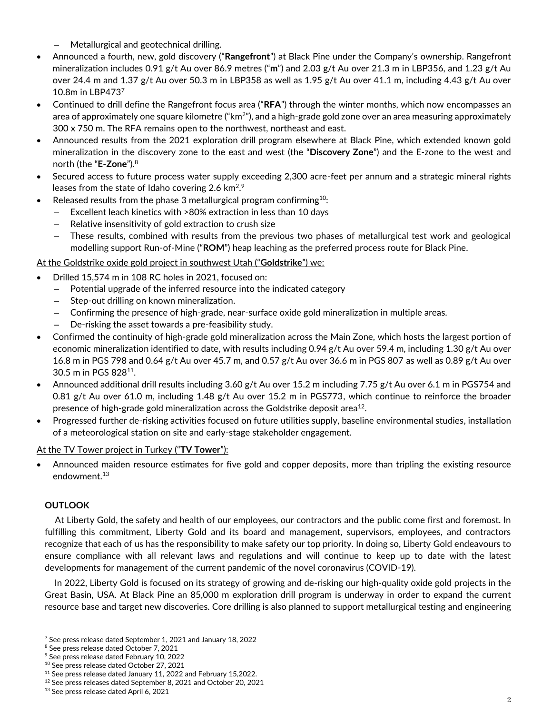– Metallurgical and geotechnical drilling.

- Announced a fourth, new, gold discovery ("**Rangefront**") at Black Pine under the Company's ownership. Rangefront mineralization includes 0.91 g/t Au over 86.9 metres ("**m**") and 2.03 g/t Au over 21.3 m in LBP356, and 1.23 g/t Au over 24.4 m and 1.37 g/t Au over 50.3 m in LBP358 as well as 1.95 g/t Au over 41.1 m, including 4.43 g/t Au over 10.8m in LBP473<sup>7</sup>
- Continued to drill define the Rangefront focus area ("**RFA**") through the winter months, which now encompasses an area of approximately one square kilometre ("km $^{2}$ "), and a high-grade gold zone over an area measuring approximately 300 x 750 m. The RFA remains open to the northwest, northeast and east.
- Announced results from the 2021 exploration drill program elsewhere at Black Pine, which extended known gold mineralization in the discovery zone to the east and west (the "**Discovery Zone**") and the E-zone to the west and north (the "**E-Zone**"). 8
- Secured access to future process water supply exceeding 2,300 acre-feet per annum and a strategic mineral rights leases from the state of Idaho covering 2.6  $km<sup>2,9</sup>$
- Released results from the phase 3 metallurgical program confirming<sup>10</sup>:
	- Excellent leach kinetics with >80% extraction in less than 10 days
	- Relative insensitivity of gold extraction to crush size
	- These results, combined with results from the previous two phases of metallurgical test work and geological modelling support Run-of-Mine ("**ROM**") heap leaching as the preferred process route for Black Pine.

# At the Goldstrike oxide gold project in southwest Utah ("**Goldstrike**") we:

- Drilled 15,574 m in 108 RC holes in 2021, focused on:
	- Potential upgrade of the inferred resource into the indicated category
	- Step-out drilling on known mineralization.
	- Confirming the presence of high-grade, near-surface oxide gold mineralization in multiple areas.
	- De-risking the asset towards a pre-feasibility study.
- Confirmed the continuity of high-grade gold mineralization across the Main Zone, which hosts the largest portion of economic mineralization identified to date, with results including 0.94 g/t Au over 59.4 m, including 1.30 g/t Au over 16.8 m in PGS 798 and 0.64 g/t Au over 45.7 m, and 0.57 g/t Au over 36.6 m in PGS 807 as well as 0.89 g/t Au over 30.5 m in PGS 828<sup>11</sup> .
- Announced additional drill results including 3.60 g/t Au over 15.2 m including 7.75 g/t Au over 6.1 m in PGS754 and 0.81 g/t Au over 61.0 m, including 1.48 g/t Au over 15.2 m in PGS773, which continue to reinforce the broader presence of high-grade gold mineralization across the Goldstrike deposit area $^{12}$ .
- Progressed further de-risking activities focused on future utilities supply, baseline environmental studies, installation of a meteorological station on site and early-stage stakeholder engagement.

# At the TV Tower project in Turkey ("**TV Tower**"):

• Announced maiden resource estimates for five gold and copper deposits, more than tripling the existing resource endowment.<sup>13</sup>

# **OUTLOOK**

At Liberty Gold, the safety and health of our employees, our contractors and the public come first and foremost. In fulfilling this commitment, Liberty Gold and its board and management, supervisors, employees, and contractors recognize that each of us has the responsibility to make safety our top priority. In doing so, Liberty Gold endeavours to ensure compliance with all relevant laws and regulations and will continue to keep up to date with the latest developments for management of the current pandemic of the novel coronavirus (COVID-19).

In 2022, Liberty Gold is focused on its strategy of growing and de-risking our high-quality oxide gold projects in the Great Basin, USA. At Black Pine an 85,000 m exploration drill program is underway in order to expand the current resource base and target new discoveries. Core drilling is also planned to support metallurgical testing and engineering

<sup>7</sup> See press release dated September 1, 2021 and January 18, 2022

<sup>&</sup>lt;sup>8</sup> See press release dated October 7, 2021

<sup>9</sup> See press release dated February 10, 2022

<sup>10</sup> See press release dated October 27, 2021

<sup>&</sup>lt;sup>11</sup> See press release dated January 11, 2022 and February 15,2022.

<sup>12</sup> See press releases dated September 8, 2021 and October 20, 2021

<sup>&</sup>lt;sup>13</sup> See press release dated April 6, 2021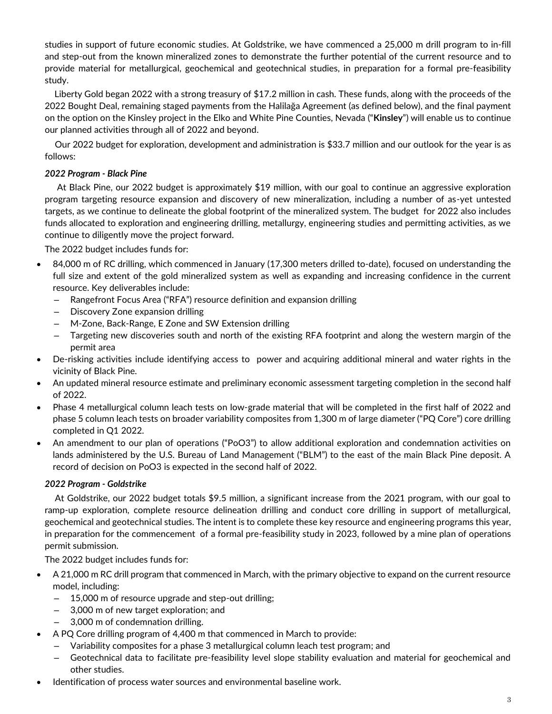studies in support of future economic studies. At Goldstrike, we have commenced a 25,000 m drill program to in-fill and step-out from the known mineralized zones to demonstrate the further potential of the current resource and to provide material for metallurgical, geochemical and geotechnical studies, in preparation for a formal pre-feasibility study.

Liberty Gold began 2022 with a strong treasury of \$17.2 million in cash. These funds, along with the proceeds of the 2022 Bought Deal, remaining staged payments from the Halilağa Agreement (as defined below), and the final payment on the option on the Kinsley project in the Elko and White Pine Counties, Nevada ("**Kinsley**") will enable us to continue our planned activities through all of 2022 and beyond.

Our 2022 budget for exploration, development and administration is \$33.7 million and our outlook for the year is as follows:

# *2022 Program - Black Pine*

At Black Pine, our 2022 budget is approximately \$19 million, with our goal to continue an aggressive exploration program targeting resource expansion and discovery of new mineralization, including a number of as-yet untested targets, as we continue to delineate the global footprint of the mineralized system. The budget for 2022 also includes funds allocated to exploration and engineering drilling, metallurgy, engineering studies and permitting activities, as we continue to diligently move the project forward.

The 2022 budget includes funds for:

- 84,000 m of RC drilling, which commenced in January (17,300 meters drilled to-date), focused on understanding the full size and extent of the gold mineralized system as well as expanding and increasing confidence in the current resource. Key deliverables include:
	- Rangefront Focus Area ("RFA") resource definition and expansion drilling
	- Discovery Zone expansion drilling
	- M-Zone, Back-Range, E Zone and SW Extension drilling
	- Targeting new discoveries south and north of the existing RFA footprint and along the western margin of the permit area
- De-risking activities include identifying access to power and acquiring additional mineral and water rights in the vicinity of Black Pine.
- An updated mineral resource estimate and preliminary economic assessment targeting completion in the second half of 2022.
- Phase 4 metallurgical column leach tests on low-grade material that will be completed in the first half of 2022 and phase 5 column leach tests on broader variability composites from 1,300 m of large diameter ("PQ Core") core drilling completed in Q1 2022.
- An amendment to our plan of operations ("PoO3") to allow additional exploration and condemnation activities on lands administered by the U.S. Bureau of Land Management ("BLM") to the east of the main Black Pine deposit. A record of decision on PoO3 is expected in the second half of 2022.

## *2022 Program - Goldstrike*

At Goldstrike, our 2022 budget totals \$9.5 million, a significant increase from the 2021 program, with our goal to ramp-up exploration, complete resource delineation drilling and conduct core drilling in support of metallurgical, geochemical and geotechnical studies. The intent is to complete these key resource and engineering programs this year, in preparation for the commencement of a formal pre-feasibility study in 2023, followed by a mine plan of operations permit submission.

The 2022 budget includes funds for:

- A 21,000 m RC drill program that commenced in March, with the primary objective to expand on the current resource model, including:
	- 15,000 m of resource upgrade and step-out drilling;
	- 3,000 m of new target exploration; and
	- 3,000 m of condemnation drilling.
- A PQ Core drilling program of 4,400 m that commenced in March to provide:
	- Variability composites for a phase 3 metallurgical column leach test program; and
	- Geotechnical data to facilitate pre-feasibility level slope stability evaluation and material for geochemical and other studies.
- Identification of process water sources and environmental baseline work.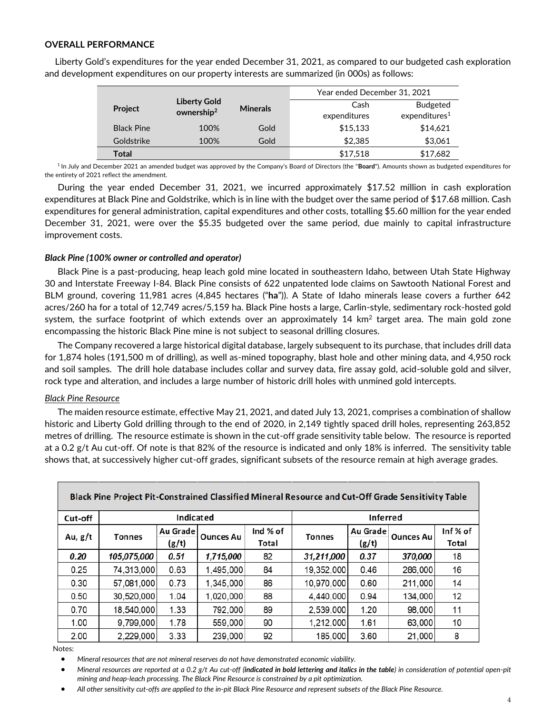## **OVERALL PERFORMANCE**

|                   |                                               | Year ended December 31, 2021 |              |                           |
|-------------------|-----------------------------------------------|------------------------------|--------------|---------------------------|
| <b>Project</b>    | <b>Liberty Gold</b><br>ownership <sup>2</sup> | <b>Minerals</b>              | Cash         | <b>Budgeted</b>           |
|                   |                                               |                              | expenditures | expenditures <sup>1</sup> |
| <b>Black Pine</b> | 100%                                          | Gold                         | \$15,133     | \$14,621                  |
| Goldstrike        | 100%                                          | Gold                         | \$2,385      | \$3,061                   |
| Total             |                                               |                              | \$17,518     | \$17,682                  |

Liberty Gold's expenditures for the year ended December 31, 2021, as compared to our budgeted cash exploration and development expenditures on our property interests are summarized (in 000s) as follows:

<sup>1</sup> In July and December 2021 an amended budget was approved by the Company's Board of Directors (the "Board"). Amounts shown as budgeted expenditures for the entirety of 2021 reflect the amendment.

During the year ended December 31, 2021, we incurred approximately \$17.52 million in cash exploration expenditures at Black Pine and Goldstrike, which is in line with the budget over the same period of \$17.68 million. Cash expenditures for general administration, capital expenditures and other costs, totalling \$5.60 million for the year ended December 31, 2021, were over the \$5.35 budgeted over the same period, due mainly to capital infrastructure improvement costs.

## *Black Pine (100% owner or controlled and operator)*

Black Pine is a past-producing, heap leach gold mine located in southeastern Idaho, between Utah State Highway 30 and Interstate Freeway I-84. Black Pine consists of 622 unpatented lode claims on Sawtooth National Forest and BLM ground, covering 11,981 acres (4,845 hectares ("**ha**")). A State of Idaho minerals lease covers a further 642 acres/260 ha for a total of 12,749 acres/5,159 ha. Black Pine hosts a large, Carlin-style, sedimentary rock-hosted gold system, the surface footprint of which extends over an approximately 14 km<sup>2</sup> target area. The main gold zone encompassing the historic Black Pine mine is not subject to seasonal drilling closures.

The Company recovered a large historical digital database, largely subsequent to its purchase, that includes drill data for 1,874 holes (191,500 m of drilling), as well as-mined topography, blast hole and other mining data, and 4,950 rock and soil samples. The drill hole database includes collar and survey data, fire assay gold, acid-soluble gold and silver, rock type and alteration, and includes a large number of historic drill holes with unmined gold intercepts.

## *Black Pine Resource*

The maiden resource estimate, effective May 21, 2021, and dated July 13, 2021, comprises a combination of shallow historic and Liberty Gold drilling through to the end of 2020, in 2,149 tightly spaced drill holes, representing 263,852 metres of drilling. The resource estimate is shown in the cut-off grade sensitivity table below. The resource is reported at a 0.2 g/t Au cut-off. Of note is that 82% of the resource is indicated and only 18% is inferred. The sensitivity table shows that, at successively higher cut-off grades, significant subsets of the resource remain at high average grades.

|         | Black Pine Project Pit-Constrained Classified Mineral Resource and Cut-Off Grade Sensitivity Table |                   |                  |                   |                 |                   |                  |                  |  |  |  |  |
|---------|----------------------------------------------------------------------------------------------------|-------------------|------------------|-------------------|-----------------|-------------------|------------------|------------------|--|--|--|--|
| Cut-off |                                                                                                    | Indicated         |                  |                   | <b>Inferred</b> |                   |                  |                  |  |  |  |  |
| Au, g/t | <b>Tonnes</b>                                                                                      | Au Grade<br>(g/t) | <b>Ounces Au</b> | Ind % of<br>Total | <b>Tonnes</b>   | Au Grade<br>(g/t) | <b>Ounces Au</b> | Inf% of<br>Total |  |  |  |  |
| 0.20    | 105,075,000                                                                                        | 0.51              | 1,715,000        | 82                | 31,211,000      | 0.37              | 370,000          | 18               |  |  |  |  |
| 0.25    | 74,313,000                                                                                         | 0.63              | 1,495,000        | 84                | 19,352,000      | 0.46              | 286,000          | 16               |  |  |  |  |
| 0.30    | 57,081,000                                                                                         | 0.73              | 1,345,000        | 86                | 10,970,000      | 0.60              | 211,000          | 14               |  |  |  |  |
| 0.50    | 30,520,000                                                                                         | 1.04              | 1,020,000        | 88                | 4,440,000       | 0.94              | 134,000          | 12               |  |  |  |  |
| 0.70    | 18,540,000                                                                                         | 1.33              | 792,000          | 89                | 2,539,000       | 1.20              | 98,000           | 11               |  |  |  |  |
| 1.00    | 9,799,000                                                                                          | 1.78              | 559,000          | 90                | 1,212,000       | 1.61              | 63,000           | 10               |  |  |  |  |
| 2.00    | 2,229,000                                                                                          | 3.33              | 239,000          | 92                | 185,000         | 3.60              | 21,000           | 8                |  |  |  |  |

Notes:

• *Mineral resources that are not mineral reserves do not have demonstrated economic viability.*

• *Mineral resources are reported at a 0.2 g/t Au cut-off (indicated in bold lettering and italics in the table) in consideration of potential open-pit mining and heap-leach processing. The Black Pine Resource is constrained by a pit optimization.*

• *All other sensitivity cut-offs are applied to the in-pit Black Pine Resource and represent subsets of the Black Pine Resource.*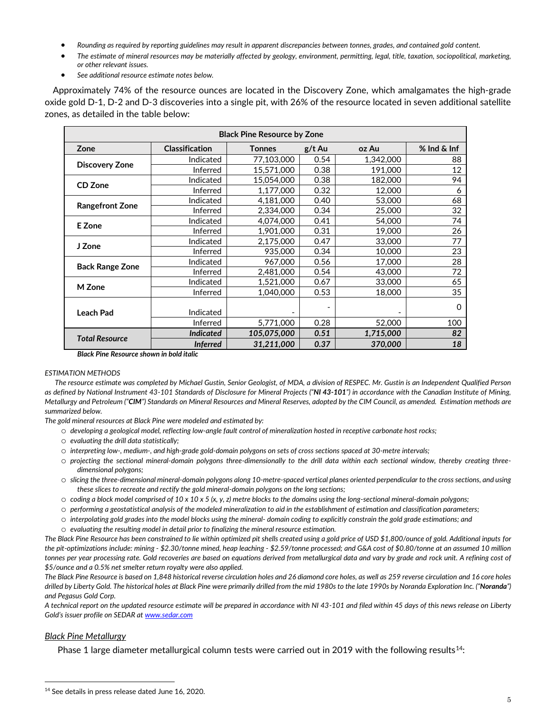- *Rounding as required by reporting guidelines may result in apparent discrepancies between tonnes, grades, and contained gold content.*
- *The estimate of mineral resources may be materially affected by geology, environment, permitting, legal, title, taxation, sociopolitical, marketing, or other relevant issues.*
- *See additional resource estimate notes below.*

Approximately 74% of the resource ounces are located in the Discovery Zone, which amalgamates the high-grade oxide gold D-1, D-2 and D-3 discoveries into a single pit, with 26% of the resource located in seven additional satellite zones, as detailed in the table below:

| <b>Black Pine Resource by Zone</b> |                       |               |        |                          |                 |  |  |  |  |  |
|------------------------------------|-----------------------|---------------|--------|--------------------------|-----------------|--|--|--|--|--|
| Zone                               | <b>Classification</b> | <b>Tonnes</b> | g/t Au | oz Au                    | $%$ Ind $&$ Inf |  |  |  |  |  |
| <b>Discovery Zone</b>              | Indicated             | 77,103,000    | 0.54   | 1,342,000                | 88              |  |  |  |  |  |
|                                    | Inferred              | 15,571,000    | 0.38   | 191,000                  | 12              |  |  |  |  |  |
| CD Zone                            | Indicated             | 15.054.000    | 0.38   | 182,000                  | 94              |  |  |  |  |  |
|                                    | Inferred              | 1,177,000     | 0.32   | 12,000                   | 6               |  |  |  |  |  |
|                                    | Indicated             | 4,181,000     | 0.40   | 53,000                   | 68              |  |  |  |  |  |
| <b>Rangefront Zone</b>             | Inferred              | 2.334.000     | 0.34   | 25,000                   | 32              |  |  |  |  |  |
| E Zone                             | Indicated             | 4,074,000     | 0.41   | 54,000                   | 74              |  |  |  |  |  |
|                                    | Inferred              | 1,901,000     | 0.31   | 19,000                   | 26              |  |  |  |  |  |
| J Zone                             | Indicated             | 2,175,000     | 0.47   | 33,000                   | 77              |  |  |  |  |  |
|                                    | Inferred              | 935,000       | 0.34   | 10,000                   | 23              |  |  |  |  |  |
| <b>Back Range Zone</b>             | Indicated             | 967,000       | 0.56   | 17,000                   | 28              |  |  |  |  |  |
|                                    | Inferred              | 2,481,000     | 0.54   | 43,000                   | 72              |  |  |  |  |  |
| M Zone                             | Indicated             | 1,521,000     | 0.67   | 33,000                   | 65              |  |  |  |  |  |
|                                    | Inferred              | 1,040,000     | 0.53   | 18,000                   | 35              |  |  |  |  |  |
|                                    |                       |               |        |                          | 0               |  |  |  |  |  |
| <b>Leach Pad</b>                   | Indicated             |               |        | $\overline{\phantom{a}}$ |                 |  |  |  |  |  |
|                                    | Inferred              | 5,771,000     | 0.28   | 52,000                   | 100             |  |  |  |  |  |
| <b>Total Resource</b>              | <b>Indicated</b>      | 105,075,000   | 0.51   | 1,715,000                | 82              |  |  |  |  |  |
|                                    | <b>Inferred</b>       | 31,211,000    | 0.37   | 370,000                  | 18              |  |  |  |  |  |

*Black Pine Resource shown in bold italic*

#### *ESTIMATION METHODS*

*The resource estimate was completed by Michael Gustin, Senior Geologist, of MDA, a division of RESPEC. Mr. Gustin is an Independent Qualified Person*  as defined by National Instrument 43-101 Standards of Disclosure for Mineral Projects ("NI 43-101") in accordance with the Canadian Institute of Mining, *Metallurgy and Petroleum ("CIM") Standards on Mineral Resources and Mineral Reserves, adopted by the CIM Council, as amended. Estimation methods are summarized below.*

*The gold mineral resources at Black Pine were modeled and estimated by:*

- o *developing a geological model, reflecting low-angle fault control of mineralization hosted in receptive carbonate host rocks;*
- o *evaluating the drill data statistically;*
- o *interpreting low-, medium-, and high-grade gold-domain polygons on sets of cross sections spaced at 30-metre intervals;*
- o *projecting the sectional mineral-domain polygons three-dimensionally to the drill data within each sectional window, thereby creating threedimensional polygons;*
- o *slicing the three-dimensional mineral-domain polygons along 10-metre-spaced vertical planes oriented perpendicular to the cross sections, and using these slices to recreate and rectify the gold mineral-domain polygons on the long sections;*
- o *coding a block model comprised of 10 x 10 x 5 (x, y, z) metre blocks to the domains using the long-sectional mineral-domain polygons;*
- o *performing a geostatistical analysis of the modeled mineralization to aid in the establishment of estimation and classification parameters;*
- o *interpolating gold grades into the model blocks using the mineral- domain coding to explicitly constrain the gold grade estimations; and*
- o *evaluating the resulting model in detail prior to finalizing the mineral resource estimation.*

*The Black Pine Resource has been constrained to lie within optimized pit shells created using a gold price of USD \$1,800/ounce of gold. Additional inputs for the pit-optimizations include: mining - \$2.30/tonne mined, heap leaching - \$2.59/tonne processed; and G&A cost of \$0.80/tonne at an assumed 10 million tonnes per year processing rate. Gold recoveries are based on equations derived from metallurgical data and vary by grade and rock unit. A refining cost of \$5/ounce and a 0.5% net smelter return royalty were also applied.*

*The Black Pine Resource is based on 1,848 historical reverse circulation holes and 26 diamond core holes, as well as 259 reverse circulation and 16 core holes drilled by Liberty Gold. The historical holes at Black Pine were primarily drilled from the mid 1980s to the late 1990s by Noranda Exploration Inc. ("Noranda") and Pegasus Gold Corp.*

*A technical report on the updated resource estimate will be prepared in accordance with NI 43-101 and filed within 45 days of this news release on Liberty Gold's issuer profile on SEDAR at [www.sedar.com](http://www.sedar.com/)*

## *Black Pine Metallurgy*

Phase 1 large diameter metallurgical column tests were carried out in 2019 with the following results<sup>14</sup>:

<sup>&</sup>lt;sup>14</sup> See details in press release dated June 16, 2020.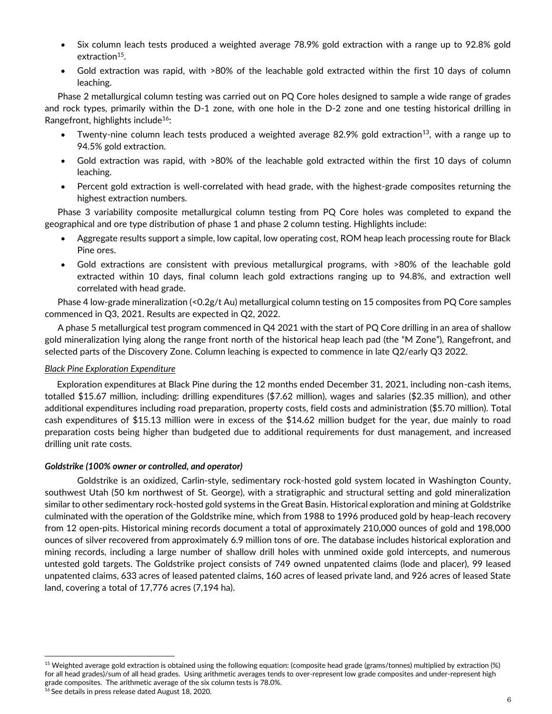- Six column leach tests produced a weighted average 78.9% gold extraction with a range up to 92.8% gold extraction<sup>15</sup>.
- Gold extraction was rapid, with >80% of the leachable gold extracted within the first 10 days of column leaching.

Phase 2 metallurgical column testing was carried out on PQ Core holes designed to sample a wide range of grades and rock types, primarily within the D-1 zone, with one hole in the D-2 zone and one testing historical drilling in Rangefront, highlights include<sup>16</sup>:

- Twenty-nine column leach tests produced a weighted average 82.9% gold extraction<sup>13</sup>, with a range up to 94.5% gold extraction.
- Gold extraction was rapid, with >80% of the leachable gold extracted within the first 10 days of column leaching.
- Percent gold extraction is well-correlated with head grade, with the highest-grade composites returning the highest extraction numbers.

Phase 3 variability composite metallurgical column testing from PQ Core holes was completed to expand the geographical and ore type distribution of phase 1 and phase 2 column testing. Highlights include:

- Aggregate results support a simple, low capital, low operating cost, ROM heap leach processing route for Black Pine ores.
- Gold extractions are consistent with previous metallurgical programs, with >80% of the leachable gold extracted within 10 days, final column leach gold extractions ranging up to 94.8%, and extraction well correlated with head grade.

Phase 4 low-grade mineralization (<0.2g/t Au) metallurgical column testing on 15 composites from PQ Core samples commenced in Q3, 2021. Results are expected in Q2, 2022.

A phase 5 metallurgical test program commenced in Q4 2021 with the start of PQ Core drilling in an area of shallow gold mineralization lying along the range front north of the historical heap leach pad (the "M Zone"), Rangefront, and selected parts of the Discovery Zone. Column leaching is expected to commence in late Q2/early Q3 2022.

## *Black Pine Exploration Expenditure*

Exploration expenditures at Black Pine during the 12 months ended December 31, 2021, including non-cash items, totalled \$15.67 million, including: drilling expenditures (\$7.62 million), wages and salaries (\$2.35 million), and other additional expenditures including road preparation, property costs, field costs and administration (\$5.70 million). Total cash expenditures of \$15.13 million were in excess of the \$14.62 million budget for the year, due mainly to road preparation costs being higher than budgeted due to additional requirements for dust management, and increased drilling unit rate costs.

## *Goldstrike (100% owner or controlled, and operator)*

Goldstrike is an oxidized, Carlin-style, sedimentary rock-hosted gold system located in Washington County, southwest Utah (50 km northwest of St. George), with a stratigraphic and structural setting and gold mineralization similar to other sedimentary rock-hosted gold systems in the Great Basin. Historical exploration and mining at Goldstrike culminated with the operation of the Goldstrike mine, which from 1988 to 1996 produced gold by heap-leach recovery from 12 open-pits. Historical mining records document a total of approximately 210,000 ounces of gold and 198,000 ounces of silver recovered from approximately 6.9 million tons of ore. The database includes historical exploration and mining records, including a large number of shallow drill holes with unmined oxide gold intercepts, and numerous untested gold targets. The Goldstrike project consists of 749 owned unpatented claims (lode and placer), 99 leased unpatented claims, 633 acres of leased patented claims, 160 acres of leased private land, and 926 acres of leased State land, covering a total of 17,776 acres (7,194 ha).

<sup>&</sup>lt;sup>15</sup> Weighted average gold extraction is obtained using the following equation: (composite head grade (grams/tonnes) multiplied by extraction (%) for all head grades)/sum of all head grades. Using arithmetic averages tends to over-represent low grade composites and under-represent high grade composites. The arithmetic average of the six column tests is 78.0%.

<sup>16</sup> See details in press release dated August 18, 2020.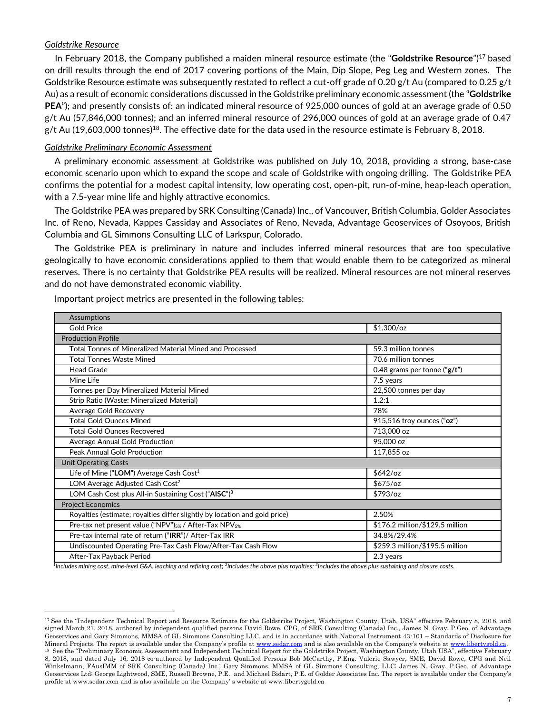## *Goldstrike Resource*

In February 2018, the Company published a maiden mineral resource estimate (the "**Goldstrike Resource**")<sup>17</sup> based on drill results through the end of 2017 covering portions of the Main, Dip Slope, Peg Leg and Western zones. The Goldstrike Resource estimate was subsequently restated to reflect a cut-off grade of 0.20 g/t Au (compared to 0.25 g/t Au) as a result of economic considerations discussed in the Goldstrike preliminary economic assessment (the "**Goldstrike PEA**"); and presently consists of: an indicated mineral resource of 925,000 ounces of gold at an average grade of 0.50 g/t Au (57,846,000 tonnes); and an inferred mineral resource of 296,000 ounces of gold at an average grade of 0.47 g/t Au (19,603,000 tonnes) $^{18}$ . The effective date for the data used in the resource estimate is February 8, 2018.

## *Goldstrike Preliminary Economic Assessment*

A preliminary economic assessment at Goldstrike was published on July 10, 2018, providing a strong, base-case economic scenario upon which to expand the scope and scale of Goldstrike with ongoing drilling. The Goldstrike PEA confirms the potential for a modest capital intensity, low operating cost, open-pit, run-of-mine, heap-leach operation, with a 7.5-year mine life and highly attractive economics.

The Goldstrike PEA was prepared by SRK Consulting (Canada) Inc., of Vancouver, British Columbia, Golder Associates Inc. of Reno, Nevada, Kappes Cassiday and Associates of Reno, Nevada, Advantage Geoservices of Osoyoos, British Columbia and GL Simmons Consulting LLC of Larkspur, Colorado.

The Goldstrike PEA is preliminary in nature and includes inferred mineral resources that are too speculative geologically to have economic considerations applied to them that would enable them to be categorized as mineral reserves. There is no certainty that Goldstrike PEA results will be realized. Mineral resources are not mineral reserves and do not have demonstrated economic viability.

| Assumptions                                                                   |                                  |
|-------------------------------------------------------------------------------|----------------------------------|
| <b>Gold Price</b>                                                             | $$1,300$ /oz                     |
| <b>Production Profile</b>                                                     |                                  |
| Total Tonnes of Mineralized Material Mined and Processed                      | 59.3 million tonnes              |
| <b>Total Tonnes Waste Mined</b>                                               | 70.6 million tonnes              |
| <b>Head Grade</b>                                                             | 0.48 grams per tonne (" $g/t$ ") |
| Mine Life                                                                     | 7.5 years                        |
| Tonnes per Day Mineralized Material Mined                                     | 22,500 tonnes per day            |
| Strip Ratio (Waste: Mineralized Material)                                     | 1.2:1                            |
| Average Gold Recovery                                                         | 78%                              |
| Total Gold Ounces Mined                                                       | 915,516 troy ounces ("oz")       |
| <b>Total Gold Ounces Recovered</b>                                            | 713,000 oz                       |
| Average Annual Gold Production                                                | 95,000 oz                        |
| Peak Annual Gold Production                                                   | 117,855 oz                       |
| <b>Unit Operating Costs</b>                                                   |                                  |
| Life of Mine ("LOM") Average Cash Cost <sup>1</sup>                           | $$642$ /oz                       |
| LOM Average Adjusted Cash Cost <sup>2</sup>                                   | $$675$ /oz                       |
| LOM Cash Cost plus All-in Sustaining Cost ("AISC") <sup>3</sup>               | $$793$ /oz                       |
| <b>Project Economics</b>                                                      |                                  |
| Royalties (estimate; royalties differ slightly by location and gold price)    | 2.50%                            |
| Pre-tax net present value ("NPV") <sub>5%</sub> / After-Tax NPV <sub>5%</sub> | \$176.2 million/\$129.5 million  |
| Pre-tax internal rate of return ("IRR")/ After-Tax IRR                        | 34.8%/29.4%                      |
| Undiscounted Operating Pre-Tax Cash Flow/After-Tax Cash Flow                  | \$259.3 million/\$195.5 million  |
| After-Tax Payback Period                                                      | 2.3 years                        |

Important project metrics are presented in the following tables:

*1 Includes mining cost, mine-level G&A, leaching and refining cost; <sup>2</sup> Includes the above plus royalties; <sup>3</sup> Includes the above plus sustaining and closure costs.*

<sup>17</sup> See the "Independent Technical Report and Resource Estimate for the Goldstrike Project, Washington County, Utah, USA" effective February 8, 2018, and signed March 21, 2018, authored by independent qualified persons David Rowe, CPG, of SRK Consulting (Canada) Inc., James N. Gray, P.Geo, of Advantage Geoservices and Gary Simmons, MMSA of GL Simmons Consulting LLC, and is in accordance with National Instrument 43-101 – Standards of Disclosure for Mineral Projects. The report is available under the Company's profile at ww[w.sedar.com](http://www.sedar.com/) and is also available on the Company's website at www.libertygold.ca. <sup>18</sup> See the "Preliminary Economic Assessment and Independent Technical Report for the Goldstrike Project, Washington County, Utah USA", effective February 8, 2018, and dated July 16, 2018 co-authored by Independent Qualified Persons Bob McCarthy, P.Eng. Valerie Sawyer, SME, David Rowe, CPG and Neil Winkelmann, FAusIMM of SRK Consulting (Canada) Inc.; Gary Simmons, MMSA of GL Simmons Consulting, LLC; James N. Gray, P.Geo. of Advantage Geoservices Ltd; George Lightwood, SME, Russell Browne, P.E. and Michael Bidart, P.E. of Golder Associates Inc. The report is available under the Company's profile at www.sedar.com and is also available on the Company' s website at www.libertygold.ca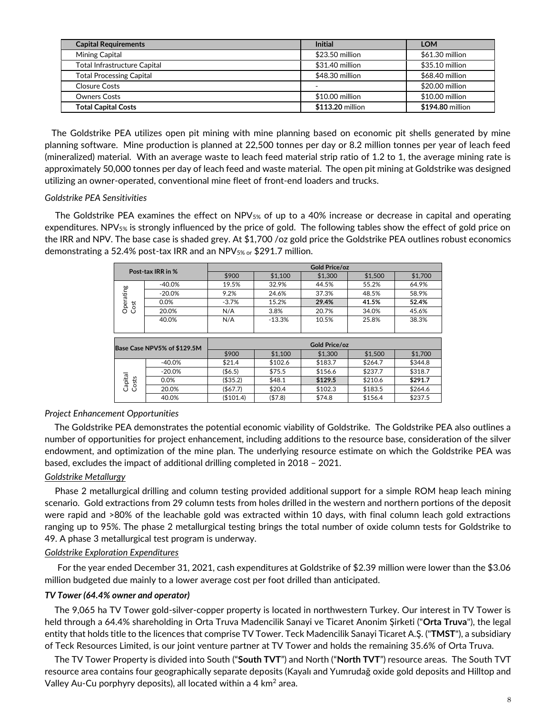| <b>Capital Requirements</b>         | <b>Initial</b>   | LOM              |
|-------------------------------------|------------------|------------------|
| Mining Capital                      | \$23.50 million  | \$61.30 million  |
| <b>Total Infrastructure Capital</b> | \$31.40 million  | \$35.10 million  |
| <b>Total Processing Capital</b>     | \$48.30 million  | \$68.40 million  |
| <b>Closure Costs</b>                |                  | \$20.00 million  |
| <b>Owners Costs</b>                 | \$10.00 million  | \$10.00 million  |
| <b>Total Capital Costs</b>          | \$113.20 million | \$194.80 million |

 The Goldstrike PEA utilizes open pit mining with mine planning based on economic pit shells generated by mine planning software. Mine production is planned at 22,500 tonnes per day or 8.2 million tonnes per year of leach feed (mineralized) material. With an average waste to leach feed material strip ratio of 1.2 to 1, the average mining rate is approximately 50,000 tonnes per day of leach feed and waste material. The open pit mining at Goldstrike was designed utilizing an owner-operated, conventional mine fleet of front-end loaders and trucks.

## *Goldstrike PEA Sensitivities*

The Goldstrike PEA examines the effect on NPV<sub>5%</sub> of up to a 40% increase or decrease in capital and operating expenditures. NPV5% is strongly influenced by the price of gold. The following tables show the effect of gold price on the IRR and NPV. The base case is shaded grey. At \$1,700 /oz gold price the Goldstrike PEA outlines robust economics demonstrating a 52.4% post-tax IRR and an NPV5% or \$291.7 million.

| Post-tax IRR in % |                             | <b>Gold Price/oz</b> |          |               |         |         |  |  |  |
|-------------------|-----------------------------|----------------------|----------|---------------|---------|---------|--|--|--|
|                   |                             | \$900                | \$1,100  | \$1,300       | \$1,500 | \$1,700 |  |  |  |
|                   | $-40.0%$                    | 19.5%                | 32.9%    | 44.5%         | 55.2%   | 64.9%   |  |  |  |
|                   | $-20.0%$                    | 9.2%                 | 24.6%    | 37.3%         | 48.5%   | 58.9%   |  |  |  |
| Operating         | 0.0%                        | $-3.7%$              | 15.2%    | 29.4%         | 41.5%   | 52.4%   |  |  |  |
| Cost              | 20.0%                       | N/A                  | 3.8%     | 20.7%         | 34.0%   | 45.6%   |  |  |  |
|                   | 40.0%                       | N/A                  | $-13.3%$ | 10.5%         | 25.8%   | 38.3%   |  |  |  |
|                   |                             |                      |          |               |         |         |  |  |  |
|                   |                             |                      |          |               |         |         |  |  |  |
|                   |                             |                      |          |               |         |         |  |  |  |
|                   |                             |                      |          | Gold Price/oz |         |         |  |  |  |
|                   | Base Case NPV5% of \$129.5M | \$900                | \$1,100  | \$1,300       | \$1,500 | \$1,700 |  |  |  |
|                   | $-40.0%$                    | \$21.4               | \$102.6  | \$183.7       | \$264.7 | \$344.8 |  |  |  |
|                   | $-20.0%$                    | ( \$6.5)             | \$75.5   | \$156.6       | \$237.7 | \$318.7 |  |  |  |
|                   | 0.0%                        | (\$35.2)             | \$48.1   | \$129.5       | \$210.6 | \$291.7 |  |  |  |
| Capital<br>Costs  | 20.0%                       | (\$67.7)             | \$20.4   | \$102.3       | \$183.5 | \$264.6 |  |  |  |

## *Project Enhancement Opportunities*

The Goldstrike PEA demonstrates the potential economic viability of Goldstrike. The Goldstrike PEA also outlines a number of opportunities for project enhancement, including additions to the resource base, consideration of the silver endowment, and optimization of the mine plan. The underlying resource estimate on which the Goldstrike PEA was based, excludes the impact of additional drilling completed in 2018 – 2021.

## *Goldstrike Metallurgy*

Phase 2 metallurgical drilling and column testing provided additional support for a simple ROM heap leach mining scenario. Gold extractions from 29 column tests from holes drilled in the western and northern portions of the deposit were rapid and >80% of the leachable gold was extracted within 10 days, with final column leach gold extractions ranging up to 95%. The phase 2 metallurgical testing brings the total number of oxide column tests for Goldstrike to 49. A phase 3 metallurgical test program is underway.

## *Goldstrike Exploration Expenditures*

For the year ended December 31, 2021, cash expenditures at Goldstrike of \$2.39 million were lower than the \$3.06 million budgeted due mainly to a lower average cost per foot drilled than anticipated.

## *TV Tower (64.4% owner and operator)*

The 9,065 ha TV Tower gold-silver-copper property is located in northwestern Turkey. Our interest in TV Tower is held through a 64.4% shareholding in Orta Truva Madencilik Sanayi ve Ticaret Anonim Şirketi ("**Orta Truva**"), the legal entity that holds title to the licences that comprise TV Tower. Teck Madencilik Sanayi Ticaret A.Ş. ("**TMST**"), a subsidiary of Teck Resources Limited, is our joint venture partner at TV Tower and holds the remaining 35.6% of Orta Truva.

The TV Tower Property is divided into South ("**South TVT**") and North ("**North TVT**") resource areas. The South TVT resource area contains four geographically separate deposits (Kayalı and Yumrudağ oxide gold deposits and Hilltop and Valley Au-Cu porphyry deposits), all located within a 4  $km<sup>2</sup>$  area.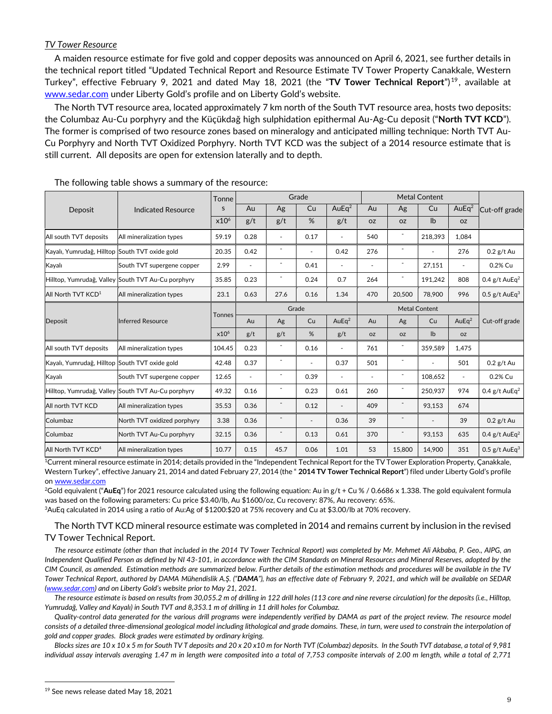## *TV Tower Resource*

A maiden resource estimate for five gold and copper deposits was announced on April 6, 2021, see further details in the technical report titled "Updated Technical Report and Resource Estimate TV Tower Property Canakkale, Western Turkey", effective February 9, 2021 and dated May 18, 2021 (the "**TV Tower Technical Report**") <sup>19</sup>, available at [www.sedar.com](http://www.sedar.com/) under Liberty Gold's profile and on Liberty Gold's website.

The North TVT resource area, located approximately 7 km north of the South TVT resource area, hosts two deposits: the Columbaz Au-Cu porphyry and the Küçükdağ high sulphidation epithermal Au-Ag-Cu deposit ("**North TVT KCD**"). The former is comprised of two resource zones based on mineralogy and anticipated milling technique: North TVT Au-Cu Porphyry and North TVT Oxidized Porphyry. North TVT KCD was the subject of a 2014 resource estimate that is still current. All deposits are open for extension laterally and to depth.

|                                                |                                                    | Tonne            | Grade          |                          |                          |                          | <b>Metal Content</b> |                          |               |                |                             |
|------------------------------------------------|----------------------------------------------------|------------------|----------------|--------------------------|--------------------------|--------------------------|----------------------|--------------------------|---------------|----------------|-----------------------------|
| Deposit                                        | <b>Indicated Resource</b>                          | S.               | Au             | Ag                       | Cu                       | AuEq <sup>2</sup>        | Au                   | Ag                       | Cu            | AuE $q^2$      | Cut-off grade               |
|                                                |                                                    | $x10^6$          | g/t            | g/t                      | %                        | g/t                      | <b>OZ</b>            | <b>OZ</b>                | $\mathsf{lb}$ | <b>OZ</b>      |                             |
| All south TVT deposits                         | All mineralization types                           | 59.19            | 0.28           | $\overline{\phantom{a}}$ | 0.17                     | $\blacksquare$           | 540                  |                          | 218,393       | 1,084          |                             |
| Kayalı, Yumrudağ, Hilltop South TVT oxide gold |                                                    | 20.35            | 0.42           |                          | $\overline{\phantom{a}}$ | 0.42                     | 276                  |                          |               | 276            | $0.2$ g/t Au                |
| Kayalı                                         | South TVT supergene copper                         | 2.99             | $\overline{a}$ | $\overline{a}$           | 0.41                     |                          | $\blacksquare$       | $\overline{\phantom{a}}$ | 27,151        |                | 0.2% Cu                     |
|                                                | Hilltop, Yumrudağ, Valley South TVT Au-Cu porphyry | 35.85            | 0.23           | $\overline{a}$           | 0.24                     | 0.7                      | 264                  | $\overline{\phantom{a}}$ | 191,242       | 808            | 0.4 g/t AuEq <sup>2</sup>   |
| All North TVT KCD <sup>1</sup>                 | All mineralization types                           | 23.1             | 0.63           | 27.6                     | 0.16                     | 1.34                     | 470                  | 20,500                   | 78,900        | 996            | 0.5 $g/t$ AuE $q^3$         |
|                                                |                                                    | <b>Tonnes</b>    | Grade          |                          |                          | <b>Metal Content</b>     |                      |                          |               |                |                             |
| Deposit                                        | <b>Inferred Resource</b>                           |                  | Au             | Ag                       | Cu                       | AuEq <sup>2</sup>        | Au                   | Ag                       | Cu            | Au $Eq2$       | Cut-off grade               |
|                                                |                                                    | x10 <sup>6</sup> | g/t            | g/t                      | %                        | g/t                      | <b>OZ</b>            | <b>OZ</b>                | $\mathsf{lb}$ | <b>OZ</b>      |                             |
| All south TVT deposits                         | All mineralization types                           | 104.45           | 0.23           |                          | 0.16                     | $\sim$                   | 761                  |                          | 359,589       | 1,475          |                             |
| Kayalı, Yumrudağ, Hilltop South TVT oxide gold |                                                    | 42.48            | 0.37           | $\blacksquare$           | $\overline{a}$           | 0.37                     | 501                  | $\overline{\phantom{a}}$ |               | 501            | $0.2$ g/t Au                |
| Kayalı                                         | South TVT supergene copper                         | 12.65            | $\blacksquare$ | $\overline{\phantom{a}}$ | 0.39                     | $\overline{\phantom{a}}$ |                      | $\overline{\phantom{a}}$ | 108,652       | $\blacksquare$ | 0.2% Cu                     |
|                                                | Hilltop, Yumrudağ, Valley South TVT Au-Cu porphyry | 49.32            | 0.16           | $\overline{\phantom{a}}$ | 0.23                     | 0.61                     | 260                  | $\overline{\phantom{a}}$ | 250.937       | 974            | 0.4 $g/t$ AuEq <sup>2</sup> |
| All north TVT KCD                              | All mineralization types                           | 35.53            | 0.36           |                          | 0.12                     | $\overline{\phantom{a}}$ | 409                  | $\overline{\phantom{a}}$ | 93,153        | 674            |                             |
| Columbaz                                       | North TVT oxidized porphyry                        | 3.38             | 0.36           |                          | $\overline{\phantom{a}}$ | 0.36                     | 39                   |                          |               | 39             | $0.2$ g/t Au                |
| Columbaz                                       | North TVT Au-Cu porphyry                           | 32.15            | 0.36           |                          | 0.13                     | 0.61                     | 370                  | $\overline{\phantom{a}}$ | 93,153        | 635            | 0.4 $g/t$ AuEq <sup>2</sup> |
| All North TVT KCD <sup>4</sup>                 | All mineralization types                           | 10.77            | 0.15           | 45.7                     | 0.06                     | 1.01                     | 53                   | 15,800                   | 14,900        | 351            | 0.5 $g/t$ AuE $q^3$         |

The following table shows a summary of the resource:

<sup>1</sup>Current mineral resource estimate in 2014; details provided in the "Independent Technical Report for the TV Tower Exploration Property, Çanakkale, Western Turkey", effective January 21, 2014 and dated February 27, 2014 (the " **2014 TV Tower Technical Report**") filed under Liberty Gold's profile o[n www.sedar.com](https://www.sedar.com/)

<sup>2</sup>Gold equivalent ("**AuEq**") for 2021 resource calculated using the following equation: Au in g/t + Cu % / 0.6686 x 1.338. The gold equivalent formula was based on the following parameters: Cu price \$3.40/lb, Au \$1600/oz, Cu recovery: 87%, Au recovery: 65%. <sup>3</sup>AuEq calculated in 2014 using a ratio of Au:Ag of \$1200:\$20 at 75% recovery and Cu at \$3.00/lb at 70% recovery.

The North TVT KCD mineral resource estimate was completed in 2014 and remains current by inclusion in the revised

# TV Tower Technical Report.

*The resource estimate (other than that included in the 2014 TV Tower Technical Report) was completed by Mr. Mehmet Ali Akbaba, P. Geo., AIPG, an Independent Qualified Person as defined by NI 43-101, in accordance with the CIM Standards on Mineral Resources and Mineral Reserves, adopted by the CIM Council, as amended. Estimation methods are summarized below. Further details of the estimation methods and procedures will be available in the TV Tower Technical Report, authored by DAMA Mühendislik A.Ş. ("DAMA"), has an effective date of February 9, 2021, and which will be available on SEDAR [\(www.sedar.com](http://www.sedar.com/)) and on Liberty Gold's website prior to May 21, 2021.* 

*The resource estimate is based on results from 30,055.2 m of drilling in 122 drill holes (113 core and nine reverse circulation) for the deposits (i.e., Hilltop, Yumrudağ, Valley and Kayalı) in South TVT and 8,353.1 m of drilling in 11 drill holes for Columbaz.*

*Quality-control data generated for the various drill programs were independently verified by DAMA as part of the project review. The resource model consists of a detailed three-dimensional geological model including lithological and grade domains. These, in turn, were used to constrain the interpolation of gold and copper grades. Block grades were estimated by ordinary kriging.* 

*Blocks sizes are 10 x 10 x 5 m for South TV T deposits and 20 x 20 x10 m for North TVT (Columbaz) deposits. In the South TVT database, a total of 9,981 individual assay intervals averaging 1.47 m in length were composited into a total of 7,753 composite intervals of 2.00 m length, while a total of 2,771*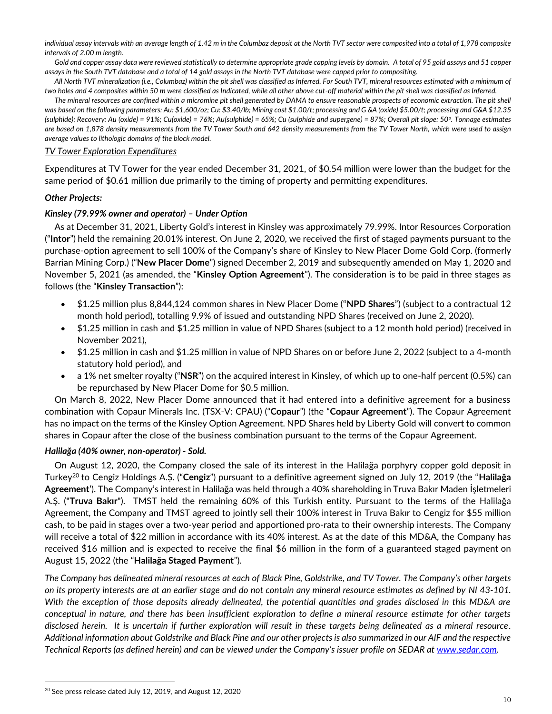*individual assay intervals with an average length of 1.42 m in the Columbaz deposit at the North TVT sector were composited into a total of 1,978 composite intervals of 2.00 m length.* 

*Gold and copper assay data were reviewed statistically to determine appropriate grade capping levels by domain. A total of 95 gold assays and 51 copper assays in the South TVT database and a total of 14 gold assays in the North TVT database were capped prior to compositing.* 

*All North TVT mineralization (i.e., Columbaz) within the pit shell was classified as Inferred. For South TVT, mineral resources estimated with a minimum of two holes and 4 composites within 50 m were classified as Indicated, while all other above cut-off material within the pit shell was classified as Inferred.*

*The mineral resources are confined within a micromine pit shell generated by DAMA to ensure reasonable prospects of economic extraction. The pit shell was based on the following parameters: Au: \$1,600/oz; Cu: \$3.40/lb; Mining cost \$1.00/t; processing and G &A (oxide) \$5.00/t; processing and G&A \$12.35 (sulphide); Recovery: Au (oxide) = 91%; Cu(oxide) = 76%; Au(sulphide) = 65%; Cu (sulphide and supergene) = 87%; Overall pit slope: 50<sup>o</sup> . Tonnage estimates are based on 1,878 density measurements from the TV Tower South and 642 density measurements from the TV Tower North, which were used to assign average values to lithologic domains of the block model.*

## *TV Tower Exploration Expenditures*

Expenditures at TV Tower for the year ended December 31, 2021, of \$0.54 million were lower than the budget for the same period of \$0.61 million due primarily to the timing of property and permitting expenditures.

## *Other Projects:*

## *Kinsley (79.99% owner and operator) – Under Option*

As at December 31, 2021, Liberty Gold's interest in Kinsley was approximately 79.99%. Intor Resources Corporation ("**Intor**") held the remaining 20.01% interest. On June 2, 2020, we received the first of staged payments pursuant to the purchase-option agreement to sell 100% of the Company's share of Kinsley to New Placer Dome Gold Corp. (formerly Barrian Mining Corp.) ("**New Placer Dome**") signed December 2, 2019 and subsequently amended on May 1, 2020 and November 5, 2021 (as amended, the "**Kinsley Option Agreement**"). The consideration is to be paid in three stages as follows (the "**Kinsley Transaction**"):

- \$1.25 million plus 8,844,124 common shares in New Placer Dome ("**NPD Shares**") (subject to a contractual 12 month hold period), totalling 9.9% of issued and outstanding NPD Shares (received on June 2, 2020).
- \$1.25 million in cash and \$1.25 million in value of NPD Shares (subject to a 12 month hold period) (received in November 2021),
- \$1.25 million in cash and \$1.25 million in value of NPD Shares on or before June 2, 2022 (subject to a 4-month statutory hold period), and
- a 1% net smelter royalty ("**NSR**") on the acquired interest in Kinsley, of which up to one-half percent (0.5%) can be repurchased by New Placer Dome for \$0.5 million.

On March 8, 2022, New Placer Dome announced that it had entered into a definitive agreement for a business combination with Copaur Minerals Inc. (TSX-V: CPAU) ("**Copaur**") (the "**Copaur Agreement**"). The Copaur Agreement has no impact on the terms of the Kinsley Option Agreement. NPD Shares held by Liberty Gold will convert to common shares in Copaur after the close of the business combination pursuant to the terms of the Copaur Agreement.

## *Halilağa (40% owner, non-operator) - Sold.*

On August 12, 2020, the Company closed the sale of its interest in the Halilağa porphyry copper gold deposit in Turkey<sup>20</sup> to Cengiz Holdings A.Ș. ("**Cengiz**") pursuant to a definitive agreement signed on July 12, 2019 (the "**Halilağa Agreement**'). The Company's interest in Halilağa was held through a 40% shareholding in Truva Bakır Maden İşletmeleri A.Ş. ("**Truva Bakır**"). TMST held the remaining 60% of this Turkish entity. Pursuant to the terms of the Halilağa Agreement, the Company and TMST agreed to jointly sell their 100% interest in Truva Bakır to Cengiz for \$55 million cash, to be paid in stages over a two-year period and apportioned pro-rata to their ownership interests. The Company will receive a total of \$22 million in accordance with its 40% interest. As at the date of this MD&A, the Company has received \$16 million and is expected to receive the final \$6 million in the form of a guaranteed staged payment on August 15, 2022 (the "**Halilağa Staged Payment**").

*The Company has delineated mineral resources at each of Black Pine, Goldstrike, and TV Tower. The Company's other targets on its property interests are at an earlier stage and do not contain any mineral resource estimates as defined by NI 43-101. With the exception of those deposits already delineated, the potential quantities and grades disclosed in this MD&A are conceptual in nature, and there has been insufficient exploration to define a mineral resource estimate for other targets disclosed herein. It is uncertain if further exploration will result in these targets being delineated as a mineral resource. Additional information about Goldstrike and Black Pine and our other projects is also summarized in our AIF and the respective Technical Reports (as defined herein) and can be viewed under the Company's issuer profile on SEDAR at www.sedar.com.* 

<sup>&</sup>lt;sup>20</sup> See press release dated July 12, 2019, and August 12, 2020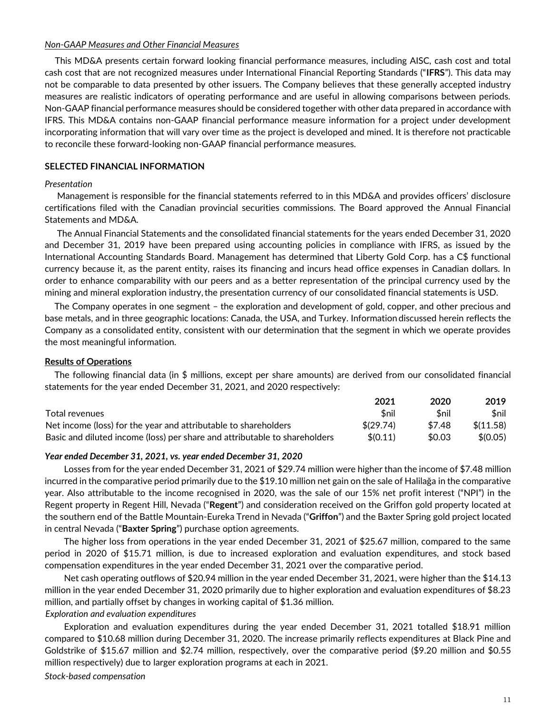#### *Non-GAAP Measures and Other Financial Measures*

This MD&A presents certain forward looking financial performance measures, including AISC, cash cost and total cash cost that are not recognized measures under International Financial Reporting Standards ("**IFRS**"). This data may not be comparable to data presented by other issuers. The Company believes that these generally accepted industry measures are realistic indicators of operating performance and are useful in allowing comparisons between periods. Non-GAAP financial performance measures should be considered together with other data prepared in accordance with IFRS. This MD&A contains non-GAAP financial performance measure information for a project under development incorporating information that will vary over time as the project is developed and mined. It is therefore not practicable to reconcile these forward-looking non-GAAP financial performance measures.

## **SELECTED FINANCIAL INFORMATION**

## *Presentation*

Management is responsible for the financial statements referred to in this MD&A and provides officers' disclosure certifications filed with the Canadian provincial securities commissions. The Board approved the Annual Financial Statements and MD&A.

The Annual Financial Statements and the consolidated financial statements for the years ended December 31, 2020 and December 31, 2019 have been prepared using accounting policies in compliance with IFRS, as issued by the International Accounting Standards Board. Management has determined that Liberty Gold Corp. has a C\$ functional currency because it, as the parent entity, raises its financing and incurs head office expenses in Canadian dollars. In order to enhance comparability with our peers and as a better representation of the principal currency used by the mining and mineral exploration industry, the presentation currency of our consolidated financial statements is USD.

The Company operates in one segment – the exploration and development of gold, copper, and other precious and base metals, and in three geographic locations: Canada, the USA, and Turkey. Information discussed herein reflects the Company as a consolidated entity, consistent with our determination that the segment in which we operate provides the most meaningful information.

## **Results of Operations**

The following financial data (in \$ millions, except per share amounts) are derived from our consolidated financial statements for the year ended December 31, 2021, and 2020 respectively:

|                                                                            | 2021      | 2020   | 2019      |
|----------------------------------------------------------------------------|-----------|--------|-----------|
| Total revenues                                                             | \$nil     | Snil   | \$nil     |
| Net income (loss) for the year and attributable to shareholders            | \$(29.74) | \$7.48 | \$(11.58) |
| Basic and diluted income (loss) per share and attributable to shareholders | \$(0.11)  | \$0.03 | \$(0.05)  |

#### *Year ended December 31, 2021, vs. year ended December 31, 2020*

Losses from for the year ended December 31, 2021 of \$29.74 million were higher than the income of \$7.48 million incurred in the comparative period primarily due to the \$19.10 million net gain on the sale of Halilağa in the comparative year. Also attributable to the income recognised in 2020, was the sale of our 15% net profit interest ("NPI") in the Regent property in Regent Hill, Nevada ("**Regent**") and consideration received on the Griffon gold property located at the southern end of the Battle Mountain-Eureka Trend in Nevada ("**Griffon**") and the Baxter Spring gold project located in central Nevada ("**Baxter Spring**") purchase option agreements.

The higher loss from operations in the year ended December 31, 2021 of \$25.67 million, compared to the same period in 2020 of \$15.71 million, is due to increased exploration and evaluation expenditures, and stock based compensation expenditures in the year ended December 31, 2021 over the comparative period.

Net cash operating outflows of \$20.94 million in the year ended December 31, 2021, were higher than the \$14.13 million in the year ended December 31, 2020 primarily due to higher exploration and evaluation expenditures of \$8.23 million, and partially offset by changes in working capital of \$1.36 million.

### *Exploration and evaluation expenditures*

Exploration and evaluation expenditures during the year ended December 31, 2021 totalled \$18.91 million compared to \$10.68 million during December 31, 2020. The increase primarily reflects expenditures at Black Pine and Goldstrike of \$15.67 million and \$2.74 million, respectively, over the comparative period (\$9.20 million and \$0.55 million respectively) due to larger exploration programs at each in 2021.

*Stock-based compensation*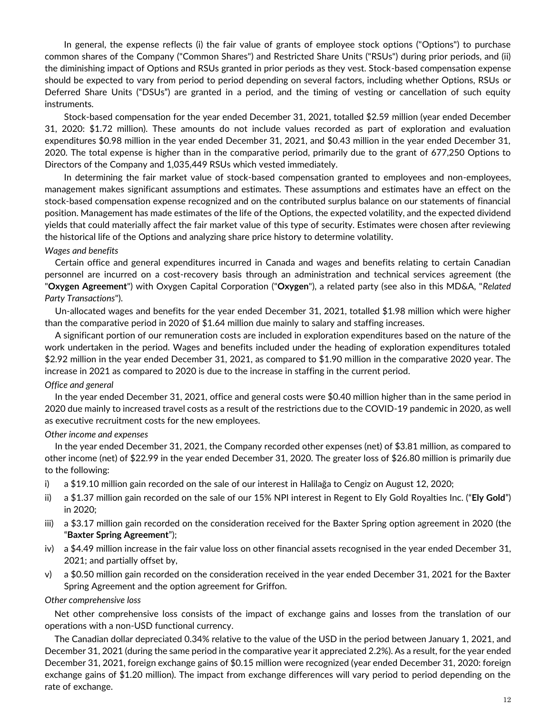In general, the expense reflects (i) the fair value of grants of employee stock options ("Options") to purchase common shares of the Company ("Common Shares") and Restricted Share Units ("RSUs") during prior periods, and (ii) the diminishing impact of Options and RSUs granted in prior periods as they vest. Stock-based compensation expense should be expected to vary from period to period depending on several factors, including whether Options, RSUs or Deferred Share Units ("DSUs") are granted in a period, and the timing of vesting or cancellation of such equity instruments.

Stock-based compensation for the year ended December 31, 2021, totalled \$2.59 million (year ended December 31, 2020: \$1.72 million). These amounts do not include values recorded as part of exploration and evaluation expenditures \$0.98 million in the year ended December 31, 2021, and \$0.43 million in the year ended December 31, 2020. The total expense is higher than in the comparative period, primarily due to the grant of 677,250 Options to Directors of the Company and 1,035,449 RSUs which vested immediately.

In determining the fair market value of stock-based compensation granted to employees and non-employees, management makes significant assumptions and estimates. These assumptions and estimates have an effect on the stock-based compensation expense recognized and on the contributed surplus balance on our statements of financial position. Management has made estimates of the life of the Options, the expected volatility, and the expected dividend yields that could materially affect the fair market value of this type of security. Estimates were chosen after reviewing the historical life of the Options and analyzing share price history to determine volatility.

## *Wages and benefits*

Certain office and general expenditures incurred in Canada and wages and benefits relating to certain Canadian personnel are incurred on a cost-recovery basis through an administration and technical services agreement (the "**Oxygen Agreement**") with Oxygen Capital Corporation ("**Oxygen**"), a related party (see also in this MD&A, "*Related Party Transactions*").

Un-allocated wages and benefits for the year ended December 31, 2021, totalled \$1.98 million which were higher than the comparative period in 2020 of \$1.64 million due mainly to salary and staffing increases.

A significant portion of our remuneration costs are included in exploration expenditures based on the nature of the work undertaken in the period. Wages and benefits included under the heading of exploration expenditures totaled \$2.92 million in the year ended December 31, 2021, as compared to \$1.90 million in the comparative 2020 year. The increase in 2021 as compared to 2020 is due to the increase in staffing in the current period.

## *Office and general*

In the year ended December 31, 2021, office and general costs were \$0.40 million higher than in the same period in 2020 due mainly to increased travel costs as a result of the restrictions due to the COVID-19 pandemic in 2020, as well as executive recruitment costs for the new employees.

## *Other income and expenses*

In the year ended December 31, 2021, the Company recorded other expenses (net) of \$3.81 million, as compared to other income (net) of \$22.99 in the year ended December 31, 2020. The greater loss of \$26.80 million is primarily due to the following:

- i) a \$19.10 million gain recorded on the sale of our interest in Halilağa to Cengiz on August 12, 2020;
- ii) a \$1.37 million gain recorded on the sale of our 15% NPI interest in Regent to Ely Gold Royalties Inc. ("**Ely Gold**") in 2020;
- iii) a \$3.17 million gain recorded on the consideration received for the Baxter Spring option agreement in 2020 (the "**Baxter Spring Agreement**");
- iv) a \$4.49 million increase in the fair value loss on other financial assets recognised in the year ended December 31, 2021; and partially offset by,
- v) a \$0.50 million gain recorded on the consideration received in the year ended December 31, 2021 for the Baxter Spring Agreement and the option agreement for Griffon.

## *Other comprehensive loss*

Net other comprehensive loss consists of the impact of exchange gains and losses from the translation of our operations with a non-USD functional currency.

The Canadian dollar depreciated 0.34% relative to the value of the USD in the period between January 1, 2021, and December 31, 2021 (during the same period in the comparative year it appreciated 2.2%). As a result, for the year ended December 31, 2021, foreign exchange gains of \$0.15 million were recognized (year ended December 31, 2020: foreign exchange gains of \$1.20 million). The impact from exchange differences will vary period to period depending on the rate of exchange.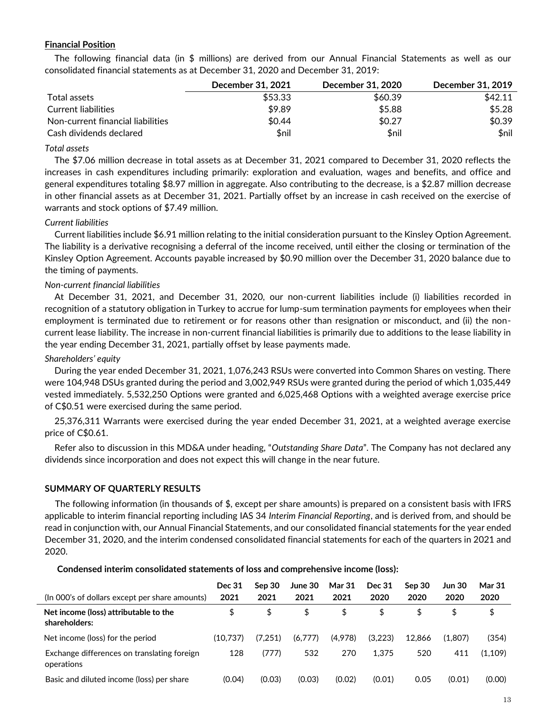## **Financial Position**

The following financial data (in \$ millions) are derived from our Annual Financial Statements as well as our consolidated financial statements as at December 31, 2020 and December 31, 2019:

|                                   | December 31, 2021 | <b>December 31, 2020</b> | December 31, 2019 |
|-----------------------------------|-------------------|--------------------------|-------------------|
| Total assets                      | \$53.33           | \$60.39                  | \$42.11           |
| Current liabilities               | \$9.89            | \$5.88                   | \$5.28            |
| Non-current financial liabilities | \$0.44            | \$0.27                   | \$0.39            |
| Cash dividends declared           | \$nil             | \$nil                    | \$nil             |

### *Total assets*

The \$7.06 million decrease in total assets as at December 31, 2021 compared to December 31, 2020 reflects the increases in cash expenditures including primarily: exploration and evaluation, wages and benefits, and office and general expenditures totaling \$8.97 million in aggregate. Also contributing to the decrease, is a \$2.87 million decrease in other financial assets as at December 31, 2021. Partially offset by an increase in cash received on the exercise of warrants and stock options of \$7.49 million.

## *Current liabilities*

Current liabilities include \$6.91 million relating to the initial consideration pursuant to the Kinsley Option Agreement. The liability is a derivative recognising a deferral of the income received, until either the closing or termination of the Kinsley Option Agreement. Accounts payable increased by \$0.90 million over the December 31, 2020 balance due to the timing of payments.

## *Non-current financial liabilities*

At December 31, 2021, and December 31, 2020, our non-current liabilities include (i) liabilities recorded in recognition of a statutory obligation in Turkey to accrue for lump-sum termination payments for employees when their employment is terminated due to retirement or for reasons other than resignation or misconduct, and (ii) the noncurrent lease liability. The increase in non-current financial liabilities is primarily due to additions to the lease liability in the year ending December 31, 2021, partially offset by lease payments made.

#### *Shareholders' equity*

During the year ended December 31, 2021, 1,076,243 RSUs were converted into Common Shares on vesting. There were 104,948 DSUs granted during the period and 3,002,949 RSUs were granted during the period of which 1,035,449 vested immediately. 5,532,250 Options were granted and 6,025,468 Options with a weighted average exercise price of C\$0.51 were exercised during the same period.

25,376,311 Warrants were exercised during the year ended December 31, 2021, at a weighted average exercise price of C\$0.61.

Refer also to discussion in this MD&A under heading, "*Outstanding Share Data*". The Company has not declared any dividends since incorporation and does not expect this will change in the near future.

## **SUMMARY OF QUARTERLY RESULTS**

The following information (in thousands of \$, except per share amounts) is prepared on a consistent basis with IFRS applicable to interim financial reporting including IAS 34 *Interim Financial Reporting*, and is derived from, and should be read in conjunction with, our Annual Financial Statements, and our consolidated financial statements for the year ended December 31, 2020, and the interim condensed consolidated financial statements for each of the quarters in 2021 and 2020.

#### **Condensed interim consolidated statements of loss and comprehensive income (loss):**

| (In 000's of dollars except per share amounts)            | <b>Dec 31</b><br>2021 | Sep 30<br>2021 | June 30<br>2021 | <b>Mar 31</b><br>2021 | Dec 31<br>2020 | Sep 30<br>2020 | Jun 30<br>2020 | <b>Mar 31</b><br>2020 |
|-----------------------------------------------------------|-----------------------|----------------|-----------------|-----------------------|----------------|----------------|----------------|-----------------------|
| Net income (loss) attributable to the<br>shareholders:    | \$                    | \$             | \$              | \$                    | \$             | \$             |                | S                     |
| Net income (loss) for the period                          | (10.737)              | (7.251)        | (6.777)         | (4,978)               | (3.223)        | 12.866         | (1.807)        | (354)                 |
| Exchange differences on translating foreign<br>operations | 128                   | (777)          | 532             | 270                   | 1.375          | 520            | 411            | (1,109)               |
| Basic and diluted income (loss) per share                 | (0.04)                | (0.03)         | (0.03)          | (0.02)                | (0.01)         | 0.05           | (0.01)         | (0.00)                |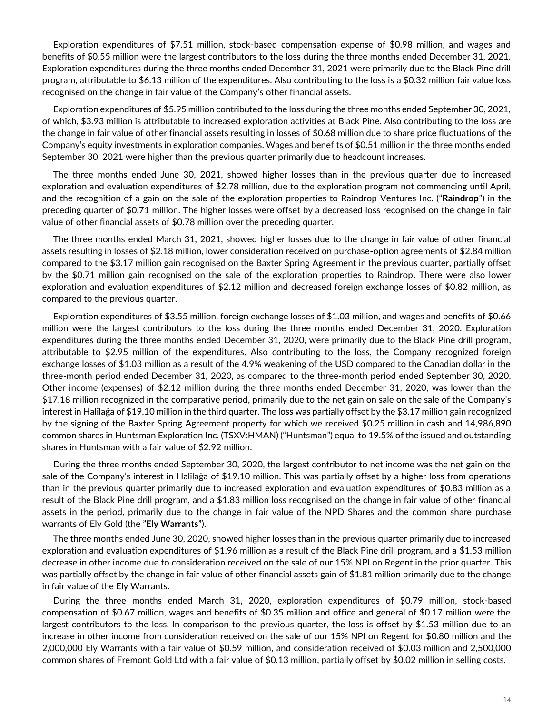Exploration expenditures of \$7.51 million, stock-based compensation expense of \$0.98 million, and wages and benefits of \$0.55 million were the largest contributors to the loss during the three months ended December 31, 2021. Exploration expenditures during the three months ended December 31, 2021 were primarily due to the Black Pine drill program, attributable to \$6.13 million of the expenditures. Also contributing to the loss is a \$0.32 million fair value loss recognised on the change in fair value of the Company's other financial assets.

Exploration expenditures of \$5.95 million contributed to the loss during the three months ended September 30, 2021, of which, \$3.93 million is attributable to increased exploration activities at Black Pine. Also contributing to the loss are the change in fair value of other financial assets resulting in losses of \$0.68 million due to share price fluctuations of the Company's equity investments in exploration companies. Wages and benefits of \$0.51 million in the three months ended September 30, 2021 were higher than the previous quarter primarily due to headcount increases.

The three months ended June 30, 2021, showed higher losses than in the previous quarter due to increased exploration and evaluation expenditures of \$2.78 million, due to the exploration program not commencing until April, and the recognition of a gain on the sale of the exploration properties to Raindrop Ventures Inc. ("**Raindrop**") in the preceding quarter of \$0.71 million. The higher losses were offset by a decreased loss recognised on the change in fair value of other financial assets of \$0.78 million over the preceding quarter.

The three months ended March 31, 2021, showed higher losses due to the change in fair value of other financial assets resulting in losses of \$2.18 million, lower consideration received on purchase-option agreements of \$2.84 million compared to the \$3.17 million gain recognised on the Baxter Spring Agreement in the previous quarter, partially offset by the \$0.71 million gain recognised on the sale of the exploration properties to Raindrop. There were also lower exploration and evaluation expenditures of \$2.12 million and decreased foreign exchange losses of \$0.82 million, as compared to the previous quarter.

Exploration expenditures of \$3.55 million, foreign exchange losses of \$1.03 million, and wages and benefits of \$0.66 million were the largest contributors to the loss during the three months ended December 31, 2020. Exploration expenditures during the three months ended December 31, 2020, were primarily due to the Black Pine drill program, attributable to \$2.95 million of the expenditures. Also contributing to the loss, the Company recognized foreign exchange losses of \$1.03 million as a result of the 4.9% weakening of the USD compared to the Canadian dollar in the three-month period ended December 31, 2020, as compared to the three-month period ended September 30, 2020. Other income (expenses) of \$2.12 million during the three months ended December 31, 2020, was lower than the \$17.18 million recognized in the comparative period, primarily due to the net gain on sale on the sale of the Company's interest in Halilağa of \$19.10 million in the third quarter. The loss was partially offset by the \$3.17 million gain recognized by the signing of the Baxter Spring Agreement property for which we received \$0.25 million in cash and 14,986,890 common shares in Huntsman Exploration Inc. (TSXV:HMAN) ("Huntsman") equal to 19.5% of the issued and outstanding shares in Huntsman with a fair value of \$2.92 million.

During the three months ended September 30, 2020, the largest contributor to net income was the net gain on the sale of the Company's interest in Halilağa of \$19.10 million. This was partially offset by a higher loss from operations than in the previous quarter primarily due to increased exploration and evaluation expenditures of \$0.83 million as a result of the Black Pine drill program, and a \$1.83 million loss recognised on the change in fair value of other financial assets in the period, primarily due to the change in fair value of the NPD Shares and the common share purchase warrants of Ely Gold (the "**Ely Warrants**").

The three months ended June 30, 2020, showed higher losses than in the previous quarter primarily due to increased exploration and evaluation expenditures of \$1.96 million as a result of the Black Pine drill program, and a \$1.53 million decrease in other income due to consideration received on the sale of our 15% NPI on Regent in the prior quarter. This was partially offset by the change in fair value of other financial assets gain of \$1.81 million primarily due to the change in fair value of the Ely Warrants.

During the three months ended March 31, 2020, exploration expenditures of \$0.79 million, stock-based compensation of \$0.67 million, wages and benefits of \$0.35 million and office and general of \$0.17 million were the largest contributors to the loss. In comparison to the previous quarter, the loss is offset by \$1.53 million due to an increase in other income from consideration received on the sale of our 15% NPI on Regent for \$0.80 million and the 2,000,000 Ely Warrants with a fair value of \$0.59 million, and consideration received of \$0.03 million and 2,500,000 common shares of Fremont Gold Ltd with a fair value of \$0.13 million, partially offset by \$0.02 million in selling costs.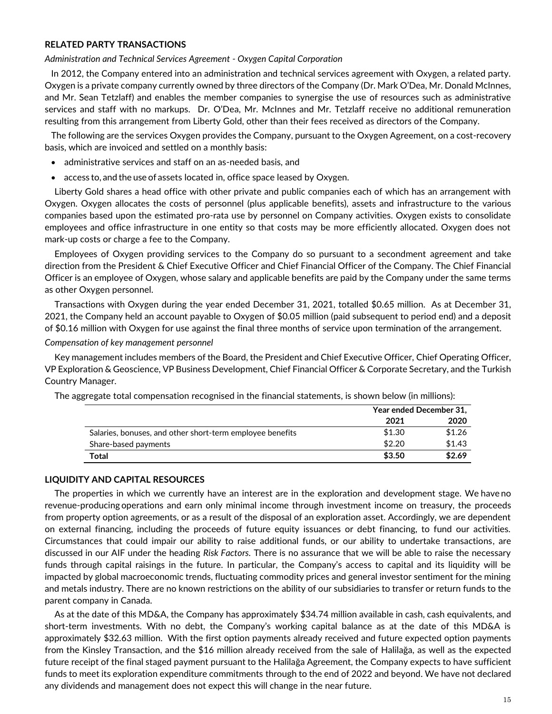## **RELATED PARTY TRANSACTIONS**

*Administration and Technical Services Agreement - Oxygen Capital Corporation*

In 2012, the Company entered into an administration and technical services agreement with Oxygen, a related party. Oxygen is a private company currently owned by three directors of the Company (Dr. Mark O'Dea, Mr. Donald McInnes, and Mr. Sean Tetzlaff) and enables the member companies to synergise the use of resources such as administrative services and staff with no markups. Dr. O'Dea, Mr. McInnes and Mr. Tetzlaff receive no additional remuneration resulting from this arrangement from Liberty Gold, other than their fees received as directors of the Company.

The following are the services Oxygen provides the Company, pursuant to the Oxygen Agreement, on a cost-recovery basis, which are invoiced and settled on a monthly basis:

- administrative services and staff on an as-needed basis, and
- access to, and the use of assets located in, office space leased by Oxygen.

Liberty Gold shares a head office with other private and public companies each of which has an arrangement with Oxygen. Oxygen allocates the costs of personnel (plus applicable benefits), assets and infrastructure to the various companies based upon the estimated pro-rata use by personnel on Company activities. Oxygen exists to consolidate employees and office infrastructure in one entity so that costs may be more efficiently allocated. Oxygen does not mark-up costs or charge a fee to the Company.

Employees of Oxygen providing services to the Company do so pursuant to a secondment agreement and take direction from the President & Chief Executive Officer and Chief Financial Officer of the Company. The Chief Financial Officer is an employee of Oxygen, whose salary and applicable benefits are paid by the Company under the same terms as other Oxygen personnel.

Transactions with Oxygen during the year ended December 31, 2021, totalled \$0.65 million. As at December 31, 2021, the Company held an account payable to Oxygen of \$0.05 million (paid subsequent to period end) and a deposit of \$0.16 million with Oxygen for use against the final three months of service upon termination of the arrangement.

#### *Compensation of key management personnel*

Key management includes members of the Board, the President and Chief Executive Officer, Chief Operating Officer, VP Exploration & Geoscience, VP Business Development, Chief Financial Officer & Corporate Secretary, and the Turkish Country Manager.

| The aggregate total compensation recognised in the financial statements, is shown below (in millions): |  |  |  |  |
|--------------------------------------------------------------------------------------------------------|--|--|--|--|
|                                                                                                        |  |  |  |  |

|                                                           | Year ended December 31, |        |  |
|-----------------------------------------------------------|-------------------------|--------|--|
|                                                           | 2021                    | 2020   |  |
| Salaries, bonuses, and other short-term employee benefits | \$1.30                  | \$1.26 |  |
| Share-based payments                                      | \$2.20                  | \$1.43 |  |
| Total                                                     | \$3.50                  | \$2.69 |  |

#### **LIQUIDITY AND CAPITAL RESOURCES**

The properties in which we currently have an interest are in the exploration and development stage. We have no revenue-producing operations and earn only minimal income through investment income on treasury, the proceeds from property option agreements, or as a result of the disposal of an exploration asset. Accordingly, we are dependent on external financing, including the proceeds of future equity issuances or debt financing, to fund our activities. Circumstances that could impair our ability to raise additional funds, or our ability to undertake transactions, are discussed in our AIF under the heading *Risk Factors.* There is no assurance that we will be able to raise the necessary funds through capital raisings in the future. In particular, the Company's access to capital and its liquidity will be impacted by global macroeconomic trends, fluctuating commodity prices and general investor sentiment for the mining and metals industry. There are no known restrictions on the ability of our subsidiaries to transfer or return funds to the parent company in Canada.

As at the date of this MD&A, the Company has approximately \$34.74 million available in cash, cash equivalents, and short-term investments. With no debt, the Company's working capital balance as at the date of this MD&A is approximately \$32.63 million. With the first option payments already received and future expected option payments from the Kinsley Transaction, and the \$16 million already received from the sale of Halilağa, as well as the expected future receipt of the final staged payment pursuant to the Halilağa Agreement, the Company expects to have sufficient funds to meet its exploration expenditure commitments through to the end of 2022 and beyond. We have not declared any dividends and management does not expect this will change in the near future.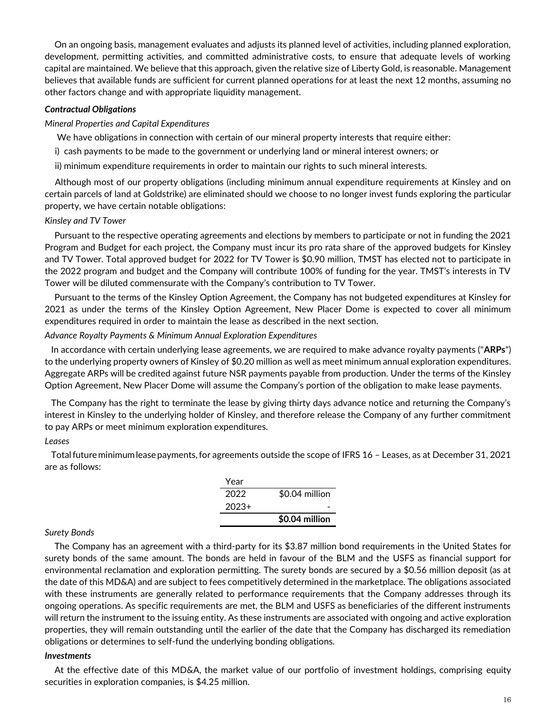On an ongoing basis, management evaluates and adjusts its planned level of activities, including planned exploration, development, permitting activities, and committed administrative costs, to ensure that adequate levels of working capital are maintained. We believe that this approach, given the relative size of Liberty Gold, is reasonable. Management believes that available funds are sufficient for current planned operations for at least the next 12 months, assuming no other factors change and with appropriate liquidity management.

## *Contractual Obligations*

### *Mineral Properties and Capital Expenditures*

We have obligations in connection with certain of our mineral property interests that require either:

i) cash payments to be made to the government or underlying land or mineral interest owners; or

ii) minimum expenditure requirements in order to maintain our rights to such mineral interests.

Although most of our property obligations (including minimum annual expenditure requirements at Kinsley and on certain parcels of land at Goldstrike) are eliminated should we choose to no longer invest funds exploring the particular property, we have certain notable obligations:

## *Kinsley and TV Tower*

Pursuant to the respective operating agreements and elections by members to participate or not in funding the 2021 Program and Budget for each project, the Company must incur its pro rata share of the approved budgets for Kinsley and TV Tower. Total approved budget for 2022 for TV Tower is \$0.90 million, TMST has elected not to participate in the 2022 program and budget and the Company will contribute 100% of funding for the year. TMST's interests in TV Tower will be diluted commensurate with the Company's contribution to TV Tower.

Pursuant to the terms of the Kinsley Option Agreement, the Company has not budgeted expenditures at Kinsley for 2021 as under the terms of the Kinsley Option Agreement, New Placer Dome is expected to cover all minimum expenditures required in order to maintain the lease as described in the next section.

#### *Advance Royalty Payments & Minimum Annual Exploration Expenditures*

In accordance with certain underlying lease agreements, we are required to make advance royalty payments ("**ARPs**") to the underlying property owners of Kinsley of \$0.20 million as well as meet minimum annual exploration expenditures. Aggregate ARPs will be credited against future NSR payments payable from production. Under the terms of the Kinsley Option Agreement, New Placer Dome will assume the Company's portion of the obligation to make lease payments.

The Company has the right to terminate the lease by giving thirty days advance notice and returning the Company's interest in Kinsley to the underlying holder of Kinsley, and therefore release the Company of any further commitment to pay ARPs or meet minimum exploration expenditures.

## *Leases*

Totalfutureminimumlease payments,for agreements outside the scope of IFRS 16 – Leases, as at December 31, 2021 are as follows:

| Year    |                |
|---------|----------------|
| 2022    | \$0.04 million |
| $2023+$ |                |
|         | \$0.04 million |

## *Surety Bonds*

The Company has an agreement with a third-party for its \$3.87 million bond requirements in the United States for surety bonds of the same amount. The bonds are held in favour of the BLM and the USFS as financial support for environmental reclamation and exploration permitting. The surety bonds are secured by a \$0.56 million deposit (as at the date of this MD&A) and are subject to fees competitively determined in the marketplace. The obligations associated with these instruments are generally related to performance requirements that the Company addresses through its ongoing operations. As specific requirements are met, the BLM and USFS as beneficiaries of the different instruments will return the instrument to the issuing entity. As these instruments are associated with ongoing and active exploration properties, they will remain outstanding until the earlier of the date that the Company has discharged its remediation obligations or determines to self-fund the underlying bonding obligations.

#### *Investments*

At the effective date of this MD&A, the market value of our portfolio of investment holdings, comprising equity securities in exploration companies, is \$4.25 million.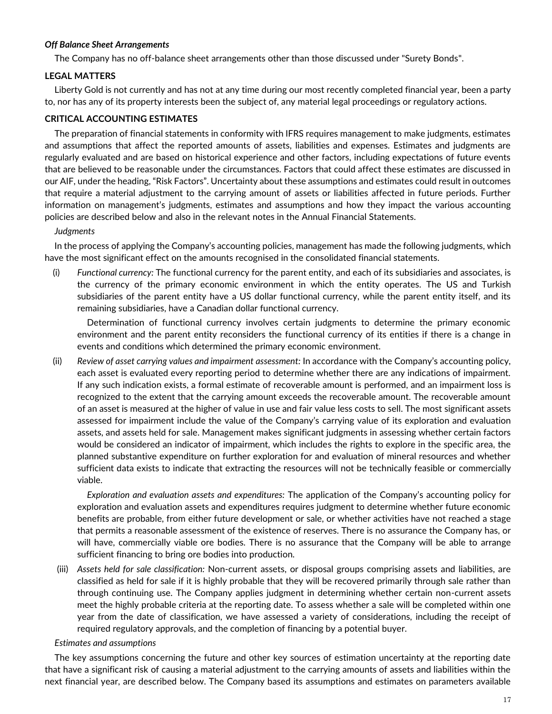## *Off Balance Sheet Arrangements*

The Company has no off-balance sheet arrangements other than those discussed under "Surety Bonds".

## **LEGAL MATTERS**

Liberty Gold is not currently and has not at any time during our most recently completed financial year, been a party to, nor has any of its property interests been the subject of, any material legal proceedings or regulatory actions.

## **CRITICAL ACCOUNTING ESTIMATES**

The preparation of financial statements in conformity with IFRS requires management to make judgments, estimates and assumptions that affect the reported amounts of assets, liabilities and expenses. Estimates and judgments are regularly evaluated and are based on historical experience and other factors, including expectations of future events that are believed to be reasonable under the circumstances. Factors that could affect these estimates are discussed in our AIF, under the heading, "Risk Factors". Uncertainty about these assumptions and estimates could result in outcomes that require a material adjustment to the carrying amount of assets or liabilities affected in future periods. Further information on management's judgments, estimates and assumptions and how they impact the various accounting policies are described below and also in the relevant notes in the Annual Financial Statements.

## *Judgments*

In the process of applying the Company's accounting policies, management has made the following judgments, which have the most significant effect on the amounts recognised in the consolidated financial statements.

(i) *Functional currency:* The functional currency for the parent entity, and each of its subsidiaries and associates, is the currency of the primary economic environment in which the entity operates. The US and Turkish subsidiaries of the parent entity have a US dollar functional currency, while the parent entity itself, and its remaining subsidiaries, have a Canadian dollar functional currency.

Determination of functional currency involves certain judgments to determine the primary economic environment and the parent entity reconsiders the functional currency of its entities if there is a change in events and conditions which determined the primary economic environment.

(ii) *Review of asset carrying values and impairment assessment:* In accordance with the Company's accounting policy, each asset is evaluated every reporting period to determine whether there are any indications of impairment. If any such indication exists, a formal estimate of recoverable amount is performed, and an impairment loss is recognized to the extent that the carrying amount exceeds the recoverable amount. The recoverable amount of an asset is measured at the higher of value in use and fair value less costs to sell. The most significant assets assessed for impairment include the value of the Company's carrying value of its exploration and evaluation assets, and assets held for sale. Management makes significant judgments in assessing whether certain factors would be considered an indicator of impairment, which includes the rights to explore in the specific area, the planned substantive expenditure on further exploration for and evaluation of mineral resources and whether sufficient data exists to indicate that extracting the resources will not be technically feasible or commercially viable.

*Exploration and evaluation assets and expenditures:* The application of the Company's accounting policy for exploration and evaluation assets and expenditures requires judgment to determine whether future economic benefits are probable, from either future development or sale, or whether activities have not reached a stage that permits a reasonable assessment of the existence of reserves. There is no assurance the Company has, or will have, commercially viable ore bodies. There is no assurance that the Company will be able to arrange sufficient financing to bring ore bodies into production.

(iii) *Assets held for sale classification:* Non-current assets, or disposal groups comprising assets and liabilities, are classified as held for sale if it is highly probable that they will be recovered primarily through sale rather than through continuing use. The Company applies judgment in determining whether certain non-current assets meet the highly probable criteria at the reporting date. To assess whether a sale will be completed within one year from the date of classification, we have assessed a variety of considerations, including the receipt of required regulatory approvals, and the completion of financing by a potential buyer.

## *Estimates and assumptions*

The key assumptions concerning the future and other key sources of estimation uncertainty at the reporting date that have a significant risk of causing a material adjustment to the carrying amounts of assets and liabilities within the next financial year, are described below. The Company based its assumptions and estimates on parameters available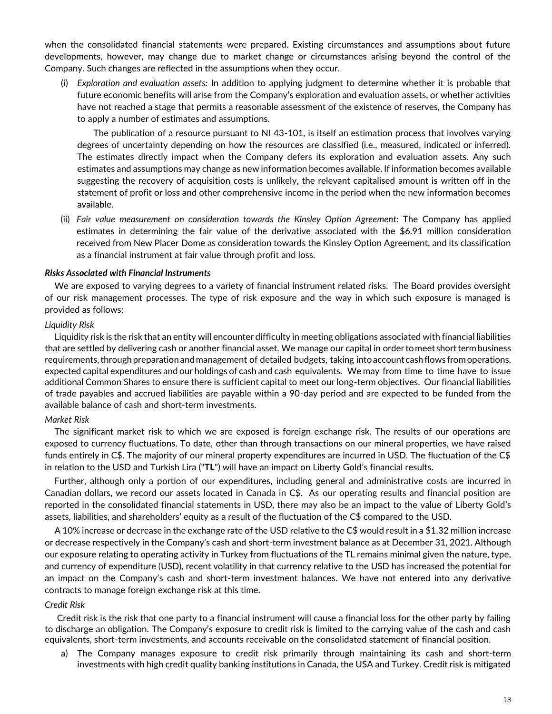when the consolidated financial statements were prepared. Existing circumstances and assumptions about future developments, however, may change due to market change or circumstances arising beyond the control of the Company. Such changes are reflected in the assumptions when they occur.

(i) *Exploration and evaluation assets:* In addition to applying judgment to determine whether it is probable that future economic benefits will arise from the Company's exploration and evaluation assets, or whether activities have not reached a stage that permits a reasonable assessment of the existence of reserves, the Company has to apply a number of estimates and assumptions.

The publication of a resource pursuant to NI 43-101, is itself an estimation process that involves varying degrees of uncertainty depending on how the resources are classified (i.e., measured, indicated or inferred). The estimates directly impact when the Company defers its exploration and evaluation assets. Any such estimates and assumptions may change as new information becomes available. If information becomes available suggesting the recovery of acquisition costs is unlikely, the relevant capitalised amount is written off in the statement of profit or loss and other comprehensive income in the period when the new information becomes available.

(ii) *Fair value measurement on consideration towards the Kinsley Option Agreement:* The Company has applied estimates in determining the fair value of the derivative associated with the \$6.91 million consideration received from New Placer Dome as consideration towards the Kinsley Option Agreement, and its classification as a financial instrument at fair value through profit and loss.

## *Risks Associated with Financial Instruments*

We are exposed to varying degrees to a variety of financial instrument related risks. The Board provides oversight of our risk management processes. The type of risk exposure and the way in which such exposure is managed is provided as follows:

#### *Liquidity Risk*

Liquidity risk is the risk that an entity will encounter difficulty in meeting obligations associated with financial liabilities that are settled by delivering cash or another financial asset. We manage our capital in ordertomeet shorttermbusiness requirements,throughpreparationand management of detailed budgets, taking intoaccount cashflows fromoperations, expected capital expenditures and our holdings of cash and cash equivalents. We may from time to time have to issue additional Common Shares to ensure there is sufficient capital to meet our long-term objectives. Our financial liabilities of trade payables and accrued liabilities are payable within a 90-day period and are expected to be funded from the available balance of cash and short-term investments.

#### *Market Risk*

The significant market risk to which we are exposed is foreign exchange risk. The results of our operations are exposed to currency fluctuations. To date, other than through transactions on our mineral properties, we have raised funds entirely in C\$. The majority of our mineral property expenditures are incurred in USD. The fluctuation of the C\$ in relation to the USD and Turkish Lira ("**TL**") will have an impact on Liberty Gold's financial results.

Further, although only a portion of our expenditures, including general and administrative costs are incurred in Canadian dollars, we record our assets located in Canada in C\$. As our operating results and financial position are reported in the consolidated financial statements in USD, there may also be an impact to the value of Liberty Gold's assets, liabilities, and shareholders' equity as a result of the fluctuation of the C\$ compared to the USD.

A 10% increase or decrease in the exchange rate of the USD relative to the C\$ would result in a \$1.32 million increase or decrease respectively in the Company's cash and short-term investment balance as at December 31, 2021. Although our exposure relating to operating activity in Turkey from fluctuations of the TL remains minimal given the nature, type, and currency of expenditure (USD), recent volatility in that currency relative to the USD has increased the potential for an impact on the Company's cash and short-term investment balances. We have not entered into any derivative contracts to manage foreign exchange risk at this time.

#### *Credit Risk*

Credit risk is the risk that one party to a financial instrument will cause a financial loss for the other party by failing to discharge an obligation. The Company's exposure to credit risk is limited to the carrying value of the cash and cash equivalents, short-term investments, and accounts receivable on the consolidated statement of financial position.

a) The Company manages exposure to credit risk primarily through maintaining its cash and short-term investments with high credit quality banking institutions in Canada, the USA and Turkey. Credit risk is mitigated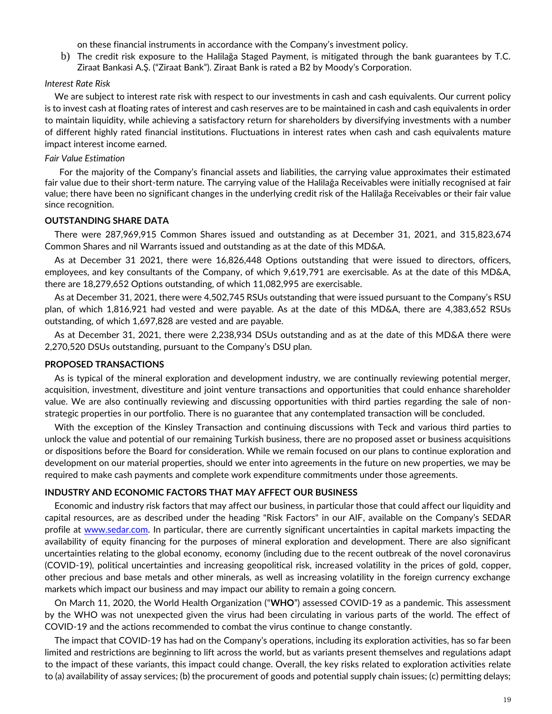on these financial instruments in accordance with the Company's investment policy.

b) The credit risk exposure to the Halilağa Staged Payment, is mitigated through the bank guarantees by T.C. Ziraat Bankasi A.Ş. ("Ziraat Bank"). Ziraat Bank is rated a B2 by Moody's Corporation.

### *Interest Rate Risk*

We are subject to interest rate risk with respect to our investments in cash and cash equivalents. Our current policy is to invest cash at floating rates of interest and cash reserves are to be maintained in cash and cash equivalents in order to maintain liquidity, while achieving a satisfactory return for shareholders by diversifying investments with a number of different highly rated financial institutions. Fluctuations in interest rates when cash and cash equivalents mature impact interest income earned.

#### *Fair Value Estimation*

For the majority of the Company's financial assets and liabilities, the carrying value approximates their estimated fair value due to their short-term nature. The carrying value of the Halilağa Receivables were initially recognised at fair value; there have been no significant changes in the underlying credit risk of the Halilağa Receivables or their fair value since recognition.

#### **OUTSTANDING SHARE DATA**

There were 287,969,915 Common Shares issued and outstanding as at December 31, 2021, and 315,823,674 Common Shares and nil Warrants issued and outstanding as at the date of this MD&A.

As at December 31 2021, there were 16,826,448 Options outstanding that were issued to directors, officers, employees, and key consultants of the Company, of which 9,619,791 are exercisable. As at the date of this MD&A, there are 18,279,652 Options outstanding, of which 11,082,995 are exercisable.

As at December 31, 2021, there were 4,502,745 RSUs outstanding that were issued pursuant to the Company's RSU plan, of which 1,816,921 had vested and were payable. As at the date of this MD&A, there are 4,383,652 RSUs outstanding, of which 1,697,828 are vested and are payable.

As at December 31, 2021, there were 2,238,934 DSUs outstanding and as at the date of this MD&A there were 2,270,520 DSUs outstanding, pursuant to the Company's DSU plan.

#### **PROPOSED TRANSACTIONS**

As is typical of the mineral exploration and development industry, we are continually reviewing potential merger, acquisition, investment, divestiture and joint venture transactions and opportunities that could enhance shareholder value. We are also continually reviewing and discussing opportunities with third parties regarding the sale of nonstrategic properties in our portfolio. There is no guarantee that any contemplated transaction will be concluded.

With the exception of the Kinsley Transaction and continuing discussions with Teck and various third parties to unlock the value and potential of our remaining Turkish business, there are no proposed asset or business acquisitions or dispositions before the Board for consideration. While we remain focused on our plans to continue exploration and development on our material properties, should we enter into agreements in the future on new properties, we may be required to make cash payments and complete work expenditure commitments under those agreements.

#### **INDUSTRY AND ECONOMIC FACTORS THAT MAY AFFECT OUR BUSINESS**

Economic and industry risk factors that may affect our business, in particular those that could affect our liquidity and capital resources, are as described under the heading "Risk Factors" in our AIF, available on the Company's SEDAR profile at [www.sedar.com.](http://www.sedar.com/) In particular, there are currently significant uncertainties in capital markets impacting the availability of equity financing for the purposes of mineral exploration and development. There are also significant uncertainties relating to the global economy, economy (including due to the recent outbreak of the novel coronavirus (COVID-19), political uncertainties and increasing geopolitical risk, increased volatility in the prices of gold, copper, other precious and base metals and other minerals, as well as increasing volatility in the foreign currency exchange markets which impact our business and may impact our ability to remain a going concern.

On March 11, 2020, the World Health Organization ("**WHO**") assessed COVID-19 as a pandemic. This assessment by the WHO was not unexpected given the virus had been circulating in various parts of the world. The effect of COVID-19 and the actions recommended to combat the virus continue to change constantly.

The impact that COVID-19 has had on the Company's operations, including its exploration activities, has so far been limited and restrictions are beginning to lift across the world, but as variants present themselves and regulations adapt to the impact of these variants, this impact could change. Overall, the key risks related to exploration activities relate to (a) availability of assay services; (b) the procurement of goods and potential supply chain issues; (c) permitting delays;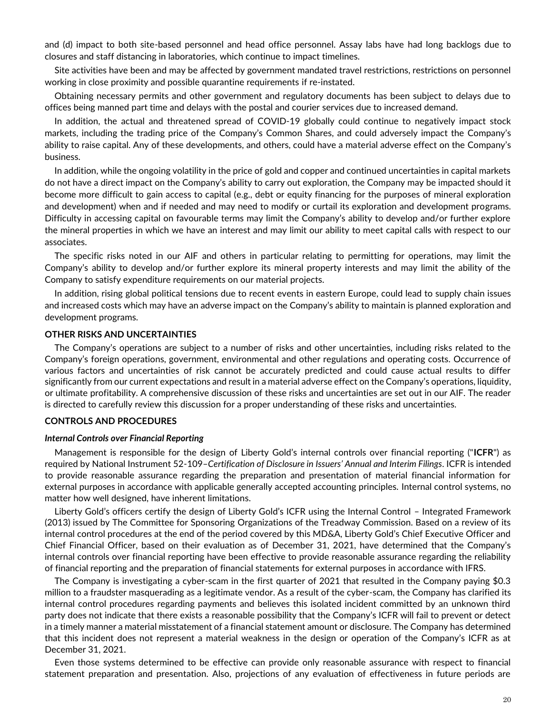and (d) impact to both site-based personnel and head office personnel. Assay labs have had long backlogs due to closures and staff distancing in laboratories, which continue to impact timelines.

Site activities have been and may be affected by government mandated travel restrictions, restrictions on personnel working in close proximity and possible quarantine requirements if re-instated.

Obtaining necessary permits and other government and regulatory documents has been subject to delays due to offices being manned part time and delays with the postal and courier services due to increased demand.

In addition, the actual and threatened spread of COVID-19 globally could continue to negatively impact stock markets, including the trading price of the Company's Common Shares, and could adversely impact the Company's ability to raise capital. Any of these developments, and others, could have a material adverse effect on the Company's business.

In addition, while the ongoing volatility in the price of gold and copper and continued uncertainties in capital markets do not have a direct impact on the Company's ability to carry out exploration, the Company may be impacted should it become more difficult to gain access to capital (e.g., debt or equity financing for the purposes of mineral exploration and development) when and if needed and may need to modify or curtail its exploration and development programs. Difficulty in accessing capital on favourable terms may limit the Company's ability to develop and/or further explore the mineral properties in which we have an interest and may limit our ability to meet capital calls with respect to our associates.

The specific risks noted in our AIF and others in particular relating to permitting for operations, may limit the Company's ability to develop and/or further explore its mineral property interests and may limit the ability of the Company to satisfy expenditure requirements on our material projects.

In addition, rising global political tensions due to recent events in eastern Europe, could lead to supply chain issues and increased costs which may have an adverse impact on the Company's ability to maintain is planned exploration and development programs.

#### **OTHER RISKS AND UNCERTAINTIES**

The Company's operations are subject to a number of risks and other uncertainties, including risks related to the Company's foreign operations, government, environmental and other regulations and operating costs. Occurrence of various factors and uncertainties of risk cannot be accurately predicted and could cause actual results to differ significantly from our current expectations and result in a material adverse effect on the Company's operations, liquidity, or ultimate profitability. A comprehensive discussion of these risks and uncertainties are set out in our AIF. The reader is directed to carefully review this discussion for a proper understanding of these risks and uncertainties.

### **CONTROLS AND PROCEDURES**

#### *Internal Controls over Financial Reporting*

Management is responsible for the design of Liberty Gold's internal controls over financial reporting ("**ICFR**") as required by National Instrument 52-109–*Certification of Disclosure in Issuers' Annual and Interim Filings*. ICFR is intended to provide reasonable assurance regarding the preparation and presentation of material financial information for external purposes in accordance with applicable generally accepted accounting principles. Internal control systems, no matter how well designed, have inherent limitations.

Liberty Gold's officers certify the design of Liberty Gold's ICFR using the Internal Control – Integrated Framework (2013) issued by The Committee for Sponsoring Organizations of the Treadway Commission. Based on a review of its internal control procedures at the end of the period covered by this MD&A, Liberty Gold's Chief Executive Officer and Chief Financial Officer, based on their evaluation as of December 31, 2021, have determined that the Company's internal controls over financial reporting have been effective to provide reasonable assurance regarding the reliability of financial reporting and the preparation of financial statements for external purposes in accordance with IFRS.

The Company is investigating a cyber-scam in the first quarter of 2021 that resulted in the Company paying \$0.3 million to a fraudster masquerading as a legitimate vendor. As a result of the cyber-scam, the Company has clarified its internal control procedures regarding payments and believes this isolated incident committed by an unknown third party does not indicate that there exists a reasonable possibility that the Company's ICFR will fail to prevent or detect in a timely manner a material misstatement of a financial statement amount or disclosure. The Company has determined that this incident does not represent a material weakness in the design or operation of the Company's ICFR as at December 31, 2021.

Even those systems determined to be effective can provide only reasonable assurance with respect to financial statement preparation and presentation. Also, projections of any evaluation of effectiveness in future periods are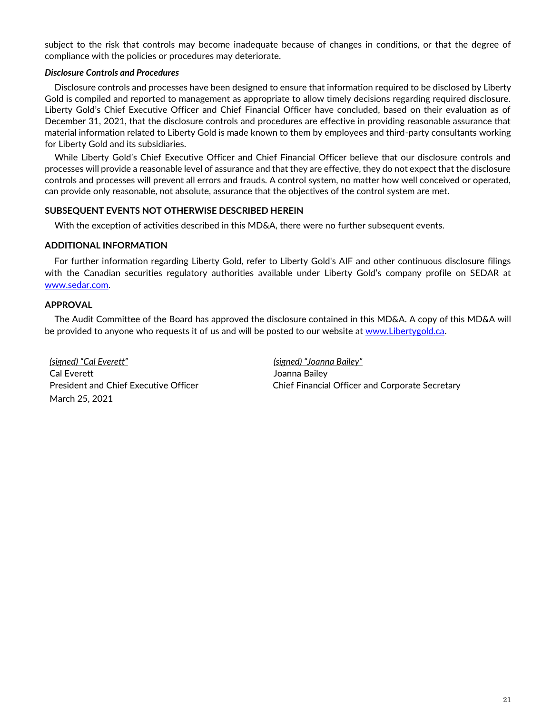subject to the risk that controls may become inadequate because of changes in conditions, or that the degree of compliance with the policies or procedures may deteriorate.

## *Disclosure Controls and Procedures*

Disclosure controls and processes have been designed to ensure that information required to be disclosed by Liberty Gold is compiled and reported to management as appropriate to allow timely decisions regarding required disclosure. Liberty Gold's Chief Executive Officer and Chief Financial Officer have concluded, based on their evaluation as of December 31, 2021, that the disclosure controls and procedures are effective in providing reasonable assurance that material information related to Liberty Gold is made known to them by employees and third-party consultants working for Liberty Gold and its subsidiaries.

While Liberty Gold's Chief Executive Officer and Chief Financial Officer believe that our disclosure controls and processes will provide a reasonable level of assurance and that they are effective, they do not expect that the disclosure controls and processes will prevent all errors and frauds. A control system, no matter how well conceived or operated, can provide only reasonable, not absolute, assurance that the objectives of the control system are met.

## **SUBSEQUENT EVENTS NOT OTHERWISE DESCRIBED HEREIN**

With the exception of activities described in this MD&A, there were no further subsequent events.

## **ADDITIONAL INFORMATION**

For further information regarding Liberty Gold, refer to Liberty Gold's AIF and other continuous disclosure filings with the Canadian securities regulatory authorities available under Liberty Gold's company profile on SEDAR at [www.sedar.com.](http://www.sedar.com/)

## **APPROVAL**

The Audit Committee of the Board has approved the disclosure contained in this MD&A. A copy of this MD&A will be provided to anyone who requests it of us and will be posted to our website at [www.Libertygold.ca.](http://www.pilotgold.com/)

*(signed) "Cal Everett" (signed) "Joanna Bailey"*  Cal Everett Joanna Bailey March 25, 2021

President and Chief Executive Officer Chief Financial Officer and Corporate Secretary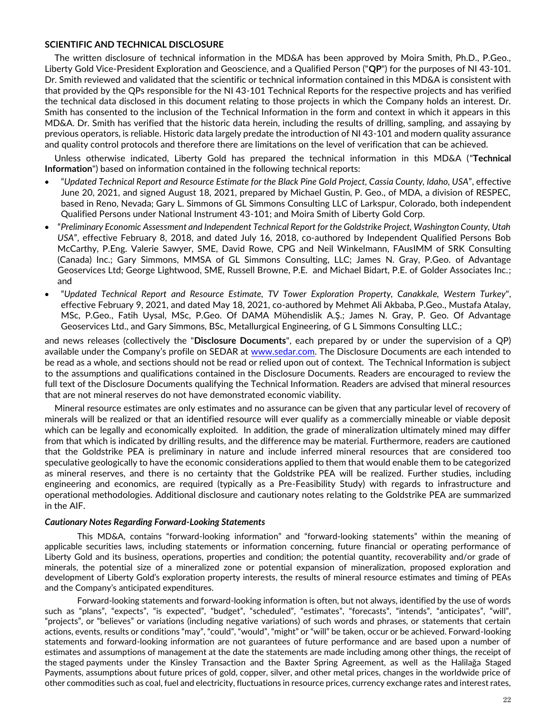## **SCIENTIFIC AND TECHNICAL DISCLOSURE**

The written disclosure of technical information in the MD&A has been approved by Moira Smith, Ph.D., P.Geo., Liberty Gold Vice-President Exploration and Geoscience, and a Qualified Person ("**QP**") for the purposes of NI 43-101. Dr. Smith reviewed and validated that the scientific or technical information contained in this MD&A is consistent with that provided by the QPs responsible for the NI 43-101 Technical Reports for the respective projects and has verified the technical data disclosed in this document relating to those projects in which the Company holds an interest. Dr. Smith has consented to the inclusion of the Technical Information in the form and context in which it appears in this MD&A. Dr. Smith has verified that the historic data herein, including the results of drilling, sampling, and assaying by previous operators, is reliable. Historic data largely predate the introduction of NI 43-101 and modern quality assurance and quality control protocols and therefore there are limitations on the level of verification that can be achieved.

Unless otherwise indicated, Liberty Gold has prepared the technical information in this MD&A ("**Technical Information**") based on information contained in the following technical reports:

- "*Updated Technical Report and Resource Estimate for the Black Pine Gold Project, Cassia County, Idaho, USA*", effective June 20, 2021, and signed August 18, 2021, prepared by Michael Gustin, P. Geo., of MDA, a division of RESPEC, based in Reno, Nevada; Gary L. Simmons of GL Simmons Consulting LLC of Larkspur, Colorado, both independent Qualified Persons under National Instrument 43-101; and Moira Smith of Liberty Gold Corp.
- "*Preliminary Economic Assessment and Independent Technical Report for the Goldstrike Project, Washington County, Utah USA*", effective February 8, 2018, and dated July 16, 2018, co-authored by Independent Qualified Persons Bob McCarthy, P.Eng. Valerie Sawyer, SME, David Rowe, CPG and Neil Winkelmann, FAusIMM of SRK Consulting (Canada) Inc.; Gary Simmons, MMSA of GL Simmons Consulting, LLC; James N. Gray, P.Geo. of Advantage Geoservices Ltd; George Lightwood, SME, Russell Browne, P.E. and Michael Bidart, P.E. of Golder Associates Inc.; and
- "*Updated Technical Report and Resource Estimate, TV Tower Exploration Property, Canakkale, Western Turkey*", effective February 9, 2021, and dated May 18, 2021, co-authored by Mehmet Ali Akbaba, P.Geo., Mustafa Atalay, MSc, P.Geo., Fatih Uysal, MSc, P.Geo. Of DAMA Mϋhendislik A.Ş.; James N. Gray, P. Geo. Of Advantage Geoservices Ltd., and Gary Simmons, BSc, Metallurgical Engineering, of G L Simmons Consulting LLC.;

and news releases (collectively the "**Disclosure Documents**", each prepared by or under the supervision of a QP) available under the Company's profile on SEDAR at [www.sedar.com.](http://www.sedar.com/) The Disclosure Documents are each intended to be read as a whole, and sections should not be read or relied upon out of context. The Technical Information is subject to the assumptions and qualifications contained in the Disclosure Documents. Readers are encouraged to review the full text of the Disclosure Documents qualifying the Technical Information. Readers are advised that mineral resources that are not mineral reserves do not have demonstrated economic viability.

Mineral resource estimates are only estimates and no assurance can be given that any particular level of recovery of minerals will be realized or that an identified resource will ever qualify as a commercially mineable or viable deposit which can be legally and economically exploited. In addition, the grade of mineralization ultimately mined may differ from that which is indicated by drilling results, and the difference may be material. Furthermore, readers are cautioned that the Goldstrike PEA is preliminary in nature and include inferred mineral resources that are considered too speculative geologically to have the economic considerations applied to them that would enable them to be categorized as mineral reserves, and there is no certainty that the Goldstrike PEA will be realized. Further studies, including engineering and economics, are required (typically as a Pre-Feasibility Study) with regards to infrastructure and operational methodologies. Additional disclosure and cautionary notes relating to the Goldstrike PEA are summarized in the AIF.

#### *Cautionary Notes Regarding Forward-Looking Statements*

This MD&A, contains "forward-looking information" and "forward-looking statements" within the meaning of applicable securities laws, including statements or information concerning, future financial or operating performance of Liberty Gold and its business, operations, properties and condition; the potential quantity, recoverability and/or grade of minerals, the potential size of a mineralized zone or potential expansion of mineralization, proposed exploration and development of Liberty Gold's exploration property interests, the results of mineral resource estimates and timing of PEAs and the Company's anticipated expenditures.

Forward-looking statements and forward-looking information is often, but not always, identified by the use of words such as "plans", "expects", "is expected", "budget", "scheduled", "estimates", "forecasts", "intends", "anticipates", "will", "projects", or "believes" or variations (including negative variations) of such words and phrases, or statements that certain actions, events, results or conditions "may", "could", "would", "might" or "will" be taken, occur or be achieved. Forward-looking statements and forward-looking information are not guarantees of future performance and are based upon a number of estimates and assumptions of management at the date the statements are made including among other things, the receipt of the staged payments under the Kinsley Transaction and the Baxter Spring Agreement, as well as the Halilağa Staged Payments, assumptions about future prices of gold, copper, silver, and other metal prices, changes in the worldwide price of other commodities such as coal, fuel and electricity, fluctuations in resource prices, currency exchange rates and interest rates,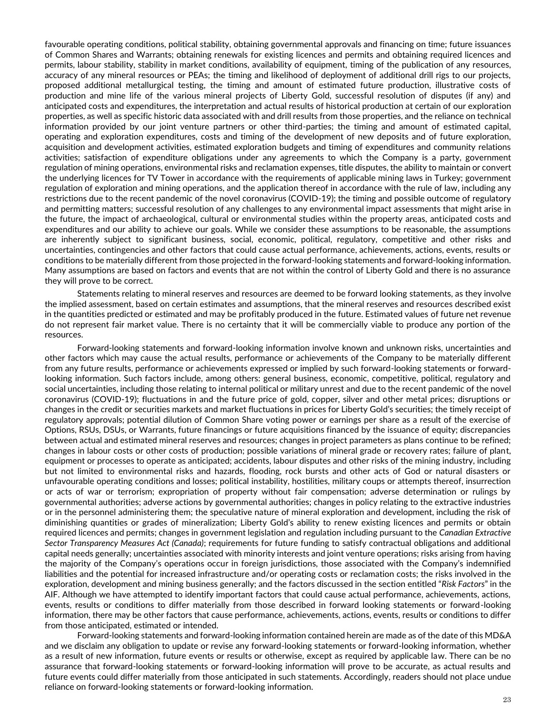favourable operating conditions, political stability, obtaining governmental approvals and financing on time; future issuances of Common Shares and Warrants; obtaining renewals for existing licences and permits and obtaining required licences and permits, labour stability, stability in market conditions, availability of equipment, timing of the publication of any resources, accuracy of any mineral resources or PEAs; the timing and likelihood of deployment of additional drill rigs to our projects, proposed additional metallurgical testing, the timing and amount of estimated future production, illustrative costs of production and mine life of the various mineral projects of Liberty Gold, successful resolution of disputes (if any) and anticipated costs and expenditures, the interpretation and actual results of historical production at certain of our exploration properties, as well as specific historic data associated with and drill results from those properties, and the reliance on technical information provided by our joint venture partners or other third-parties; the timing and amount of estimated capital, operating and exploration expenditures, costs and timing of the development of new deposits and of future exploration, acquisition and development activities, estimated exploration budgets and timing of expenditures and community relations activities; satisfaction of expenditure obligations under any agreements to which the Company is a party, government regulation of mining operations, environmental risks and reclamation expenses, title disputes, the ability to maintain or convert the underlying licences for TV Tower in accordance with the requirements of applicable mining laws in Turkey; government regulation of exploration and mining operations, and the application thereof in accordance with the rule of law, including any restrictions due to the recent pandemic of the novel coronavirus (COVID-19); the timing and possible outcome of regulatory and permitting matters; successful resolution of any challenges to any environmental impact assessments that might arise in the future, the impact of archaeological, cultural or environmental studies within the property areas, anticipated costs and expenditures and our ability to achieve our goals. While we consider these assumptions to be reasonable, the assumptions are inherently subject to significant business, social, economic, political, regulatory, competitive and other risks and uncertainties, contingencies and other factors that could cause actual performance, achievements, actions, events, results or conditions to be materially different from those projected in the forward-looking statements and forward-looking information. Many assumptions are based on factors and events that are not within the control of Liberty Gold and there is no assurance they will prove to be correct.

Statements relating to mineral reserves and resources are deemed to be forward looking statements, as they involve the implied assessment, based on certain estimates and assumptions, that the mineral reserves and resources described exist in the quantities predicted or estimated and may be profitably produced in the future. Estimated values of future net revenue do not represent fair market value. There is no certainty that it will be commercially viable to produce any portion of the resources.

Forward-looking statements and forward-looking information involve known and unknown risks, uncertainties and other factors which may cause the actual results, performance or achievements of the Company to be materially different from any future results, performance or achievements expressed or implied by such forward-looking statements or forwardlooking information. Such factors include, among others: general business, economic, competitive, political, regulatory and social uncertainties, including those relating to internal political or military unrest and due to the recent pandemic of the novel coronavirus (COVID-19); fluctuations in and the future price of gold, copper, silver and other metal prices; disruptions or changes in the credit or securities markets and market fluctuations in prices for Liberty Gold's securities; the timely receipt of regulatory approvals; potential dilution of Common Share voting power or earnings per share as a result of the exercise of Options, RSUs, DSUs, or Warrants, future financings or future acquisitions financed by the issuance of equity; discrepancies between actual and estimated mineral reserves and resources; changes in project parameters as plans continue to be refined; changes in labour costs or other costs of production; possible variations of mineral grade or recovery rates; failure of plant, equipment or processes to operate as anticipated; accidents, labour disputes and other risks of the mining industry, including but not limited to environmental risks and hazards, flooding, rock bursts and other acts of God or natural disasters or unfavourable operating conditions and losses; political instability, hostilities, military coups or attempts thereof, insurrection or acts of war or terrorism; expropriation of property without fair compensation; adverse determination or rulings by governmental authorities; adverse actions by governmental authorities; changes in policy relating to the extractive industries or in the personnel administering them; the speculative nature of mineral exploration and development, including the risk of diminishing quantities or grades of mineralization; Liberty Gold's ability to renew existing licences and permits or obtain required licences and permits; changes in government legislation and regulation including pursuant to the *Canadian Extractive Sector Transparency Measures Act (Canada)*; requirements for future funding to satisfy contractual obligations and additional capital needs generally; uncertainties associated with minority interests and joint venture operations; risks arising from having the majority of the Company's operations occur in foreign jurisdictions, those associated with the Company's indemnified liabilities and the potential for increased infrastructure and/or operating costs or reclamation costs; the risks involved in the exploration, development and mining business generally; and the factors discussed in the section entitled "*Risk Factors*" in the AIF. Although we have attempted to identify important factors that could cause actual performance, achievements, actions, events, results or conditions to differ materially from those described in forward looking statements or forward-looking information, there may be other factors that cause performance, achievements, actions, events, results or conditions to differ from those anticipated, estimated or intended.

Forward-looking statements and forward-looking information contained herein are made as of the date of this MD&A and we disclaim any obligation to update or revise any forward-looking statements or forward-looking information, whether as a result of new information, future events or results or otherwise, except as required by applicable law. There can be no assurance that forward-looking statements or forward-looking information will prove to be accurate, as actual results and future events could differ materially from those anticipated in such statements. Accordingly, readers should not place undue reliance on forward-looking statements or forward-looking information.